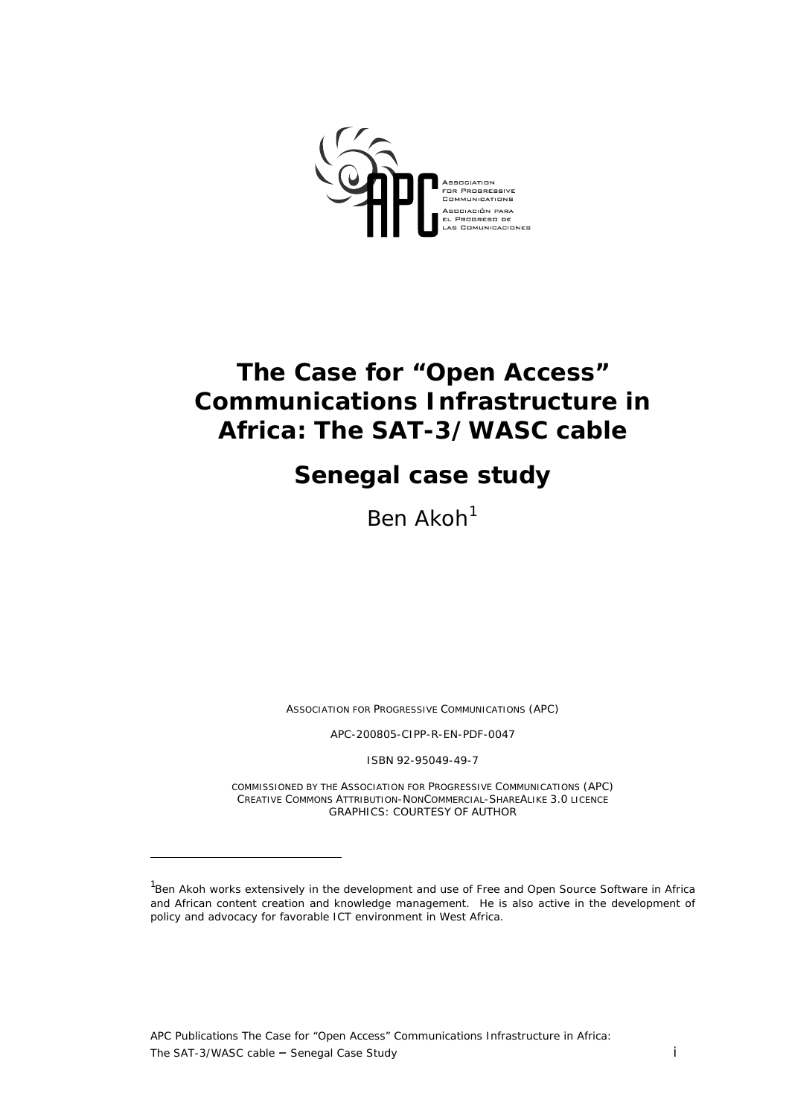

# **The Case for "Open Access" Communications Infrastructure in Africa: The SAT-3/WASC cable**

# **Senegal case study**

Ben  $Akoh<sup>1</sup>$  $Akoh<sup>1</sup>$  $Akoh<sup>1</sup>$ 

*ASSOCIATION FOR PROGRESSIVE COMMUNICATIONS (APC)* 

*APC-200805-CIPP-R-EN-PDF-0047* 

*ISBN 92-95049-49-7* 

*COMMISSIONED BY THE ASSOCIATION FOR PROGRESSIVE COMMUNICATIONS (APC) CREATIVE COMMONS ATTRIBUTION-NONCOMMERCIAL-SHAREALIKE 3.0 LICENCE GRAPHICS: COURTESY OF AUTHOR* 

 $\overline{a}$ 

<span id="page-0-0"></span><sup>&</sup>lt;sup>1</sup>Ben Akoh works extensively in the development and use of Free and Open Source Software in Africa and African content creation and knowledge management. He is also active in the development of policy and advocacy for favorable ICT environment in West Africa.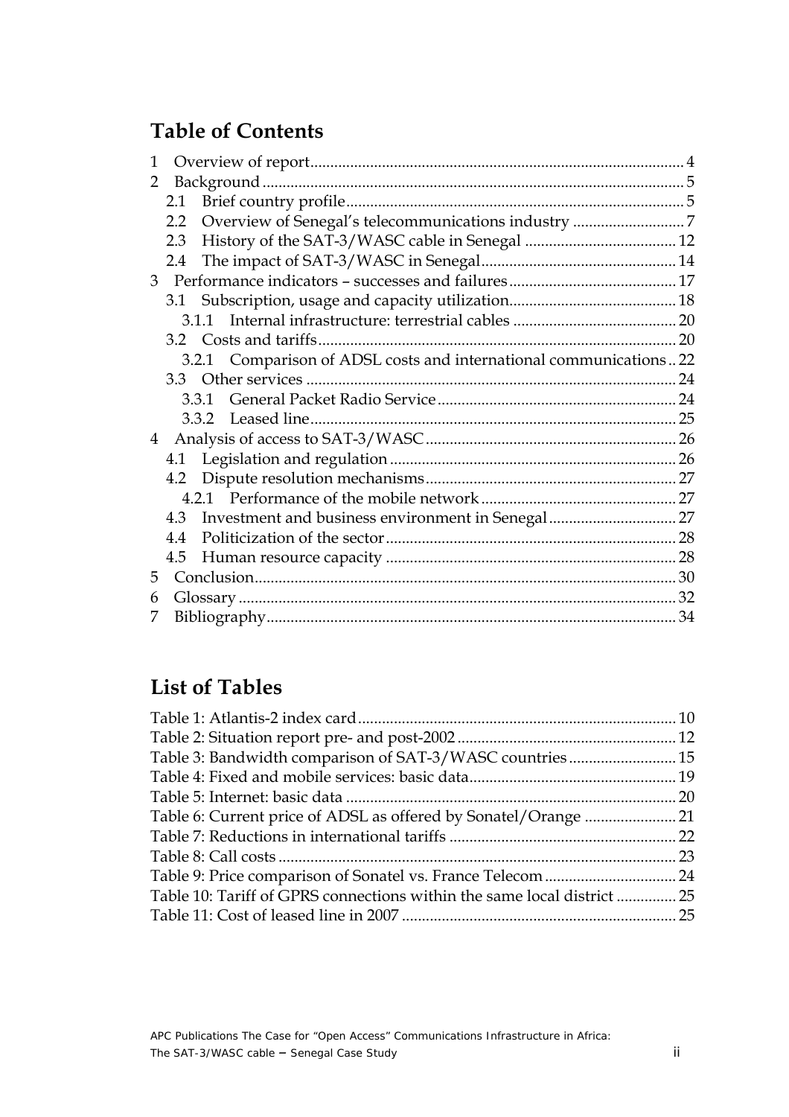## **Table of Contents**

| $2.2^{\circ}$  |                                                                   |
|----------------|-------------------------------------------------------------------|
| 2.3            |                                                                   |
| 2.4            |                                                                   |
|                |                                                                   |
|                |                                                                   |
|                |                                                                   |
|                |                                                                   |
|                |                                                                   |
|                |                                                                   |
|                |                                                                   |
|                |                                                                   |
| $\overline{4}$ |                                                                   |
|                |                                                                   |
|                |                                                                   |
|                |                                                                   |
|                |                                                                   |
| 4.4            |                                                                   |
|                |                                                                   |
|                |                                                                   |
|                |                                                                   |
|                |                                                                   |
|                | 3.2.1 Comparison of ADSL costs and international communications22 |

## **List of Tables**

| Table 3: Bandwidth comparison of SAT-3/WASC countries 15                |
|-------------------------------------------------------------------------|
|                                                                         |
|                                                                         |
|                                                                         |
|                                                                         |
|                                                                         |
|                                                                         |
| Table 10: Tariff of GPRS connections within the same local district  25 |
|                                                                         |
|                                                                         |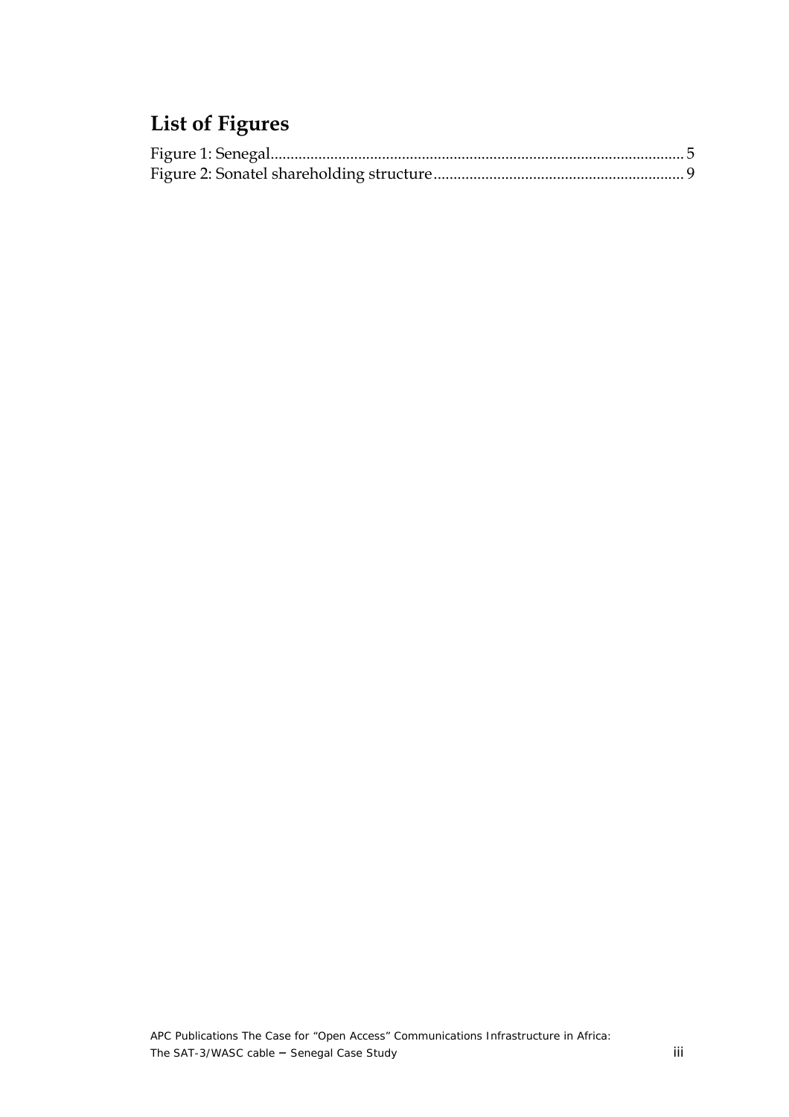# **List of Figures**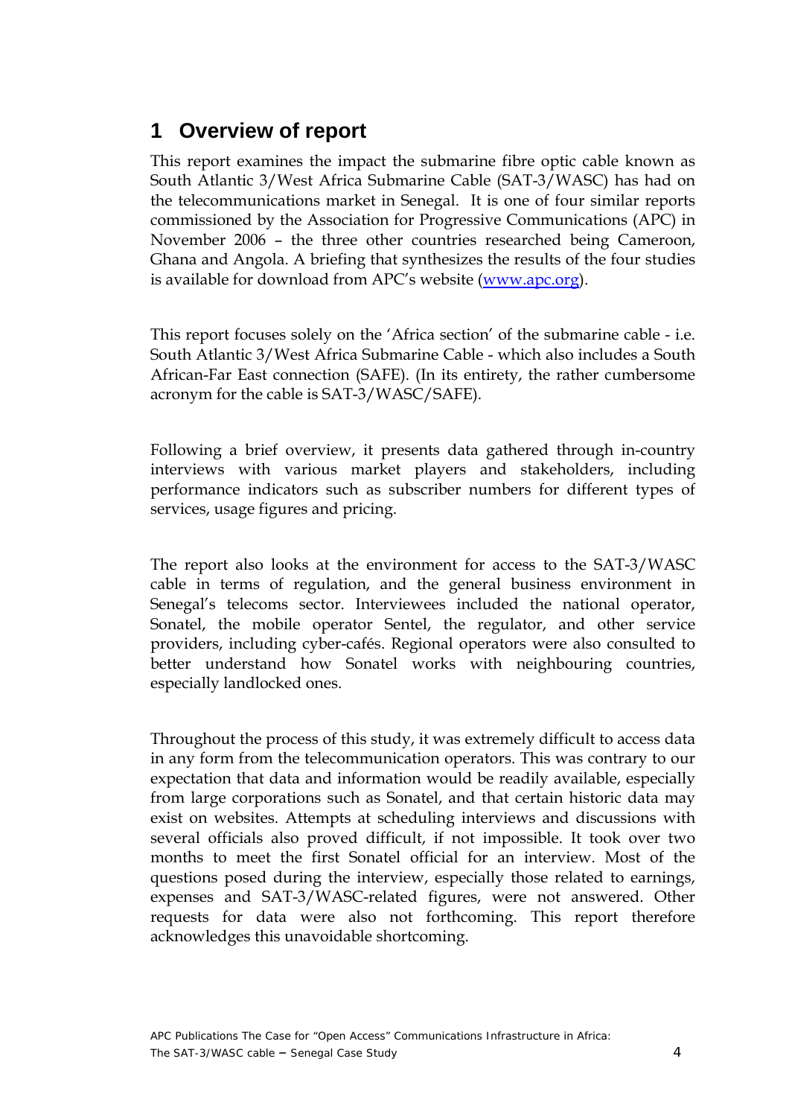## <span id="page-3-0"></span>**1 Overview of report**

This report examines the impact the submarine fibre optic cable known as South Atlantic 3/West Africa Submarine Cable (SAT-3/WASC) has had on the telecommunications market in Senegal. It is one of four similar reports commissioned by the Association for Progressive Communications (APC) in November 2006 – the three other countries researched being Cameroon, Ghana and Angola. A briefing that synthesizes the results of the four studies is available for download from APC's website [\(www.apc.org\)](http://www.apc.org).

This report focuses solely on the 'Africa section' of the submarine cable - i.e. South Atlantic 3/West Africa Submarine Cable - which also includes a South African-Far East connection (SAFE). (In its entirety, the rather cumbersome acronym for the cable is SAT-3/WASC/SAFE).

Following a brief overview, it presents data gathered through in-country interviews with various market players and stakeholders, including performance indicators such as subscriber numbers for different types of services, usage figures and pricing.

The report also looks at the environment for access to the SAT-3/WASC cable in terms of regulation, and the general business environment in Senegal's telecoms sector. Interviewees included the national operator, Sonatel, the mobile operator Sentel, the regulator, and other service providers, including cyber-cafés. Regional operators were also consulted to better understand how Sonatel works with neighbouring countries, especially landlocked ones.

Throughout the process of this study, it was extremely difficult to access data in any form from the telecommunication operators. This was contrary to our expectation that data and information would be readily available, especially from large corporations such as Sonatel, and that certain historic data may exist on websites. Attempts at scheduling interviews and discussions with several officials also proved difficult, if not impossible. It took over two months to meet the first Sonatel official for an interview. Most of the questions posed during the interview, especially those related to earnings, expenses and SAT-3/WASC-related figures, were not answered. Other requests for data were also not forthcoming. This report therefore acknowledges this unavoidable shortcoming.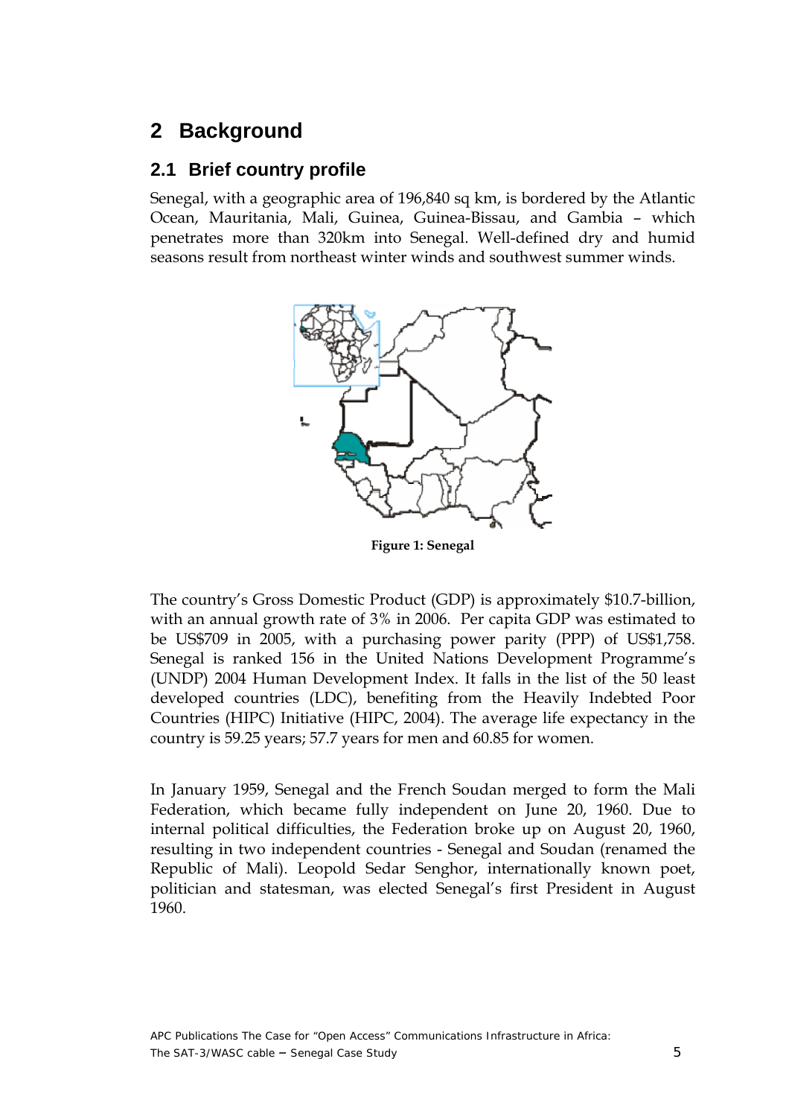## <span id="page-4-0"></span>**2 Background**

### **2.1 Brief country profile**

Senegal, with a geographic area of 196,840 sq km, is bordered by the Atlantic Ocean, Mauritania, Mali, Guinea, Guinea-Bissau, and Gambia – which penetrates more than 320km into Senegal. Well-defined dry and humid seasons result from northeast winter winds and southwest summer winds.



**Figure 1: Senegal** 

The country's Gross Domestic Product (GDP) is approximately \$10.7-billion, with an annual growth rate of 3% in 2006. Per capita GDP was estimated to be US\$709 in 2005, with a purchasing power parity (PPP) of US\$1,758. Senegal is ranked 156 in the United Nations Development Programme's (UNDP) 2004 Human Development Index. It falls in the list of the 50 least developed countries (LDC), benefiting from the Heavily Indebted Poor Countries (HIPC) Initiative (HIPC, 2004). The average life expectancy in the country is 59.25 years; 57.7 years for men and 60.85 for women.

In January 1959, Senegal and the French Soudan merged to form the Mali Federation, which became fully independent on June 20, 1960. Due to internal political difficulties, the Federation broke up on August 20, 1960, resulting in two independent countries - Senegal and Soudan (renamed the Republic of Mali). Leopold Sedar Senghor, internationally known poet, politician and statesman, was elected Senegal's first President in August 1960.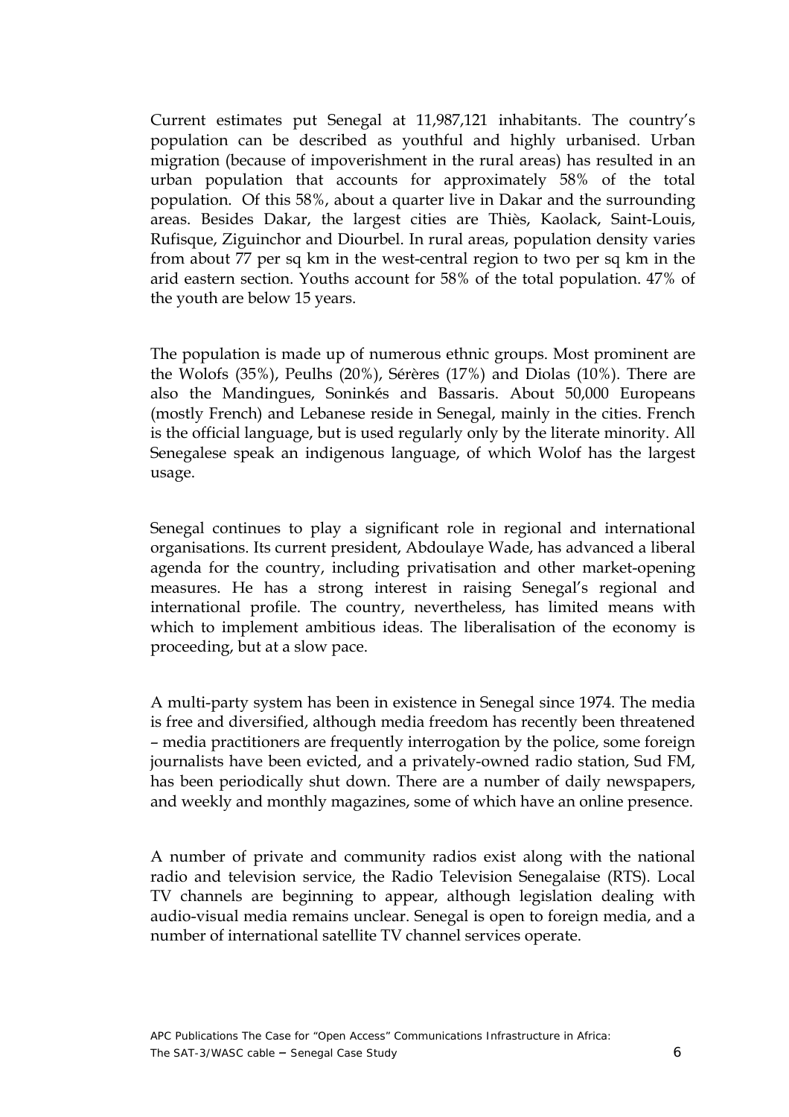Current estimates put Senegal at 11,987,121 inhabitants. The country's population can be described as youthful and highly urbanised. Urban migration (because of impoverishment in the rural areas) has resulted in an urban population that accounts for approximately 58% of the total population. Of this 58%, about a quarter live in Dakar and the surrounding areas. Besides Dakar, the largest cities are Thiès, Kaolack, Saint-Louis, Rufisque, Ziguinchor and Diourbel. In rural areas, population density varies from about 77 per sq km in the west-central region to two per sq km in the arid eastern section. Youths account for 58% of the total population. 47% of the youth are below 15 years.

The population is made up of numerous ethnic groups. Most prominent are the Wolofs (35%), Peulhs (20%), Sérères (17%) and Diolas (10%). There are also the Mandingues, Soninkés and Bassaris. About 50,000 Europeans (mostly French) and Lebanese reside in Senegal, mainly in the cities. French is the official language, but is used regularly only by the literate minority. All Senegalese speak an indigenous language, of which Wolof has the largest usage.

Senegal continues to play a significant role in regional and international organisations. Its current president, Abdoulaye Wade, has advanced a liberal agenda for the country, including privatisation and other market-opening measures. He has a strong interest in raising Senegal's regional and international profile. The country, nevertheless, has limited means with which to implement ambitious ideas. The liberalisation of the economy is proceeding, but at a slow pace.

A multi-party system has been in existence in Senegal since 1974. The media is free and diversified, although media freedom has recently been threatened – media practitioners are frequently interrogation by the police, some foreign journalists have been evicted, and a privately-owned radio station, Sud FM, has been periodically shut down. There are a number of daily newspapers, and weekly and monthly magazines, some of which have an online presence.

A number of private and community radios exist along with the national radio and television service, the Radio Television Senegalaise (RTS). Local TV channels are beginning to appear, although legislation dealing with audio-visual media remains unclear. Senegal is open to foreign media, and a number of international satellite TV channel services operate.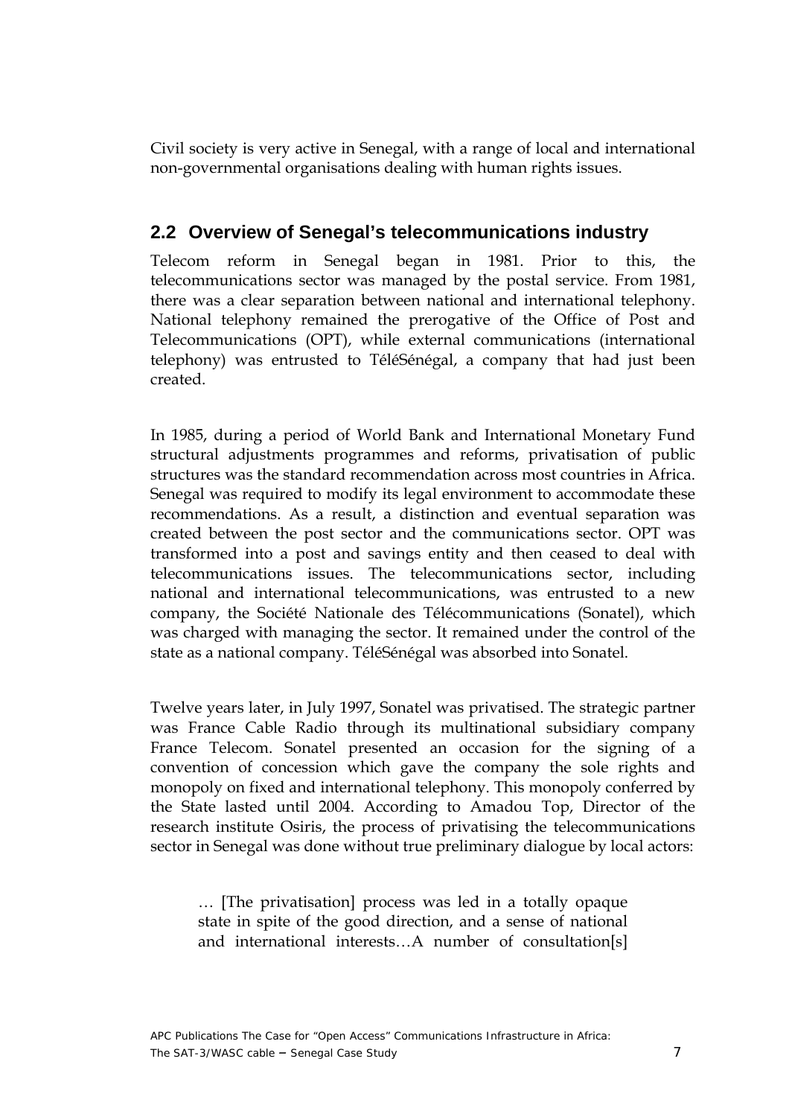<span id="page-6-0"></span>Civil society is very active in Senegal, with a range of local and international non-governmental organisations dealing with human rights issues.

### **2.2 Overview of Senegal's telecommunications industry**

Telecom reform in Senegal began in 1981. Prior to this, the telecommunications sector was managed by the postal service. From 1981, there was a clear separation between national and international telephony. National telephony remained the prerogative of the Office of Post and Telecommunications (OPT), while external communications (international telephony) was entrusted to TéléSénégal, a company that had just been created.

In 1985, during a period of World Bank and International Monetary Fund structural adjustments programmes and reforms, privatisation of public structures was the standard recommendation across most countries in Africa. Senegal was required to modify its legal environment to accommodate these recommendations. As a result, a distinction and eventual separation was created between the post sector and the communications sector. OPT was transformed into a post and savings entity and then ceased to deal with telecommunications issues. The telecommunications sector, including national and international telecommunications, was entrusted to a new company, the Société Nationale des Télécommunications (Sonatel), which was charged with managing the sector. It remained under the control of the state as a national company. TéléSénégal was absorbed into Sonatel.

Twelve years later, in July 1997, Sonatel was privatised. The strategic partner was France Cable Radio through its multinational subsidiary company France Telecom. Sonatel presented an occasion for the signing of a convention of concession which gave the company the sole rights and monopoly on fixed and international telephony. This monopoly conferred by the State lasted until 2004. According to Amadou Top, Director of the research institute Osiris, the process of privatising the telecommunications sector in Senegal was done without true preliminary dialogue by local actors:

… [The privatisation] process was led in a totally opaque state in spite of the good direction, and a sense of national and international interests…A number of consultation[s]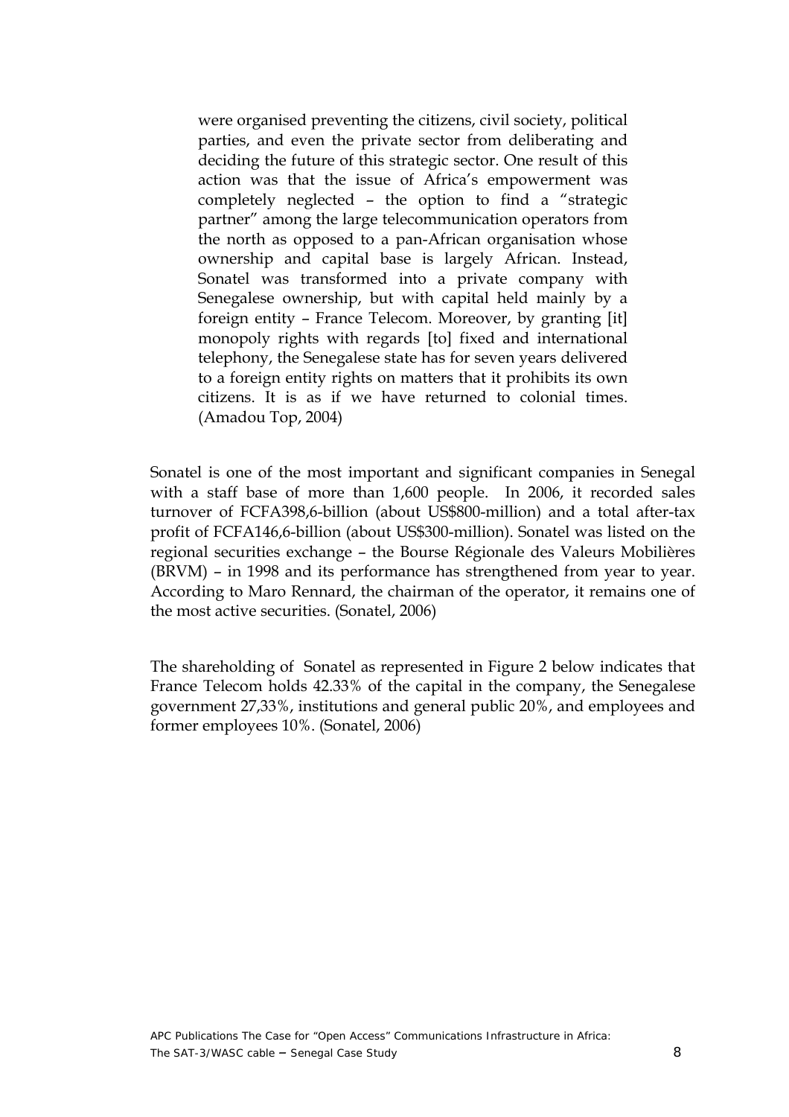were organised preventing the citizens, civil society, political parties, and even the private sector from deliberating and deciding the future of this strategic sector. One result of this action was that the issue of Africa's empowerment was completely neglected – the option to find a "strategic partner" among the large telecommunication operators from the north as opposed to a pan-African organisation whose ownership and capital base is largely African. Instead, Sonatel was transformed into a private company with Senegalese ownership, but with capital held mainly by a foreign entity – France Telecom. Moreover, by granting [it] monopoly rights with regards [to] fixed and international telephony, the Senegalese state has for seven years delivered to a foreign entity rights on matters that it prohibits its own citizens. It is as if we have returned to colonial times. (Amadou Top, 2004)

Sonatel is one of the most important and significant companies in Senegal with a staff base of more than 1,600 people. In 2006, it recorded sales turnover of FCFA398,6-billion (about US\$800-million) and a total after-tax profit of FCFA146,6-billion (about US\$300-million). Sonatel was listed on the regional securities exchange – the Bourse Régionale des Valeurs Mobilières (BRVM) – in 1998 and its performance has strengthened from year to year. According to Maro Rennard, the chairman of the operator, it remains one of the most active securities. (Sonatel, 2006)

The shareholding of Sonatel as represented in Figure 2 below indicates that France Telecom holds 42.33% of the capital in the company, the Senegalese government 27,33%, institutions and general public 20%, and employees and former employees 10%. (Sonatel, 2006)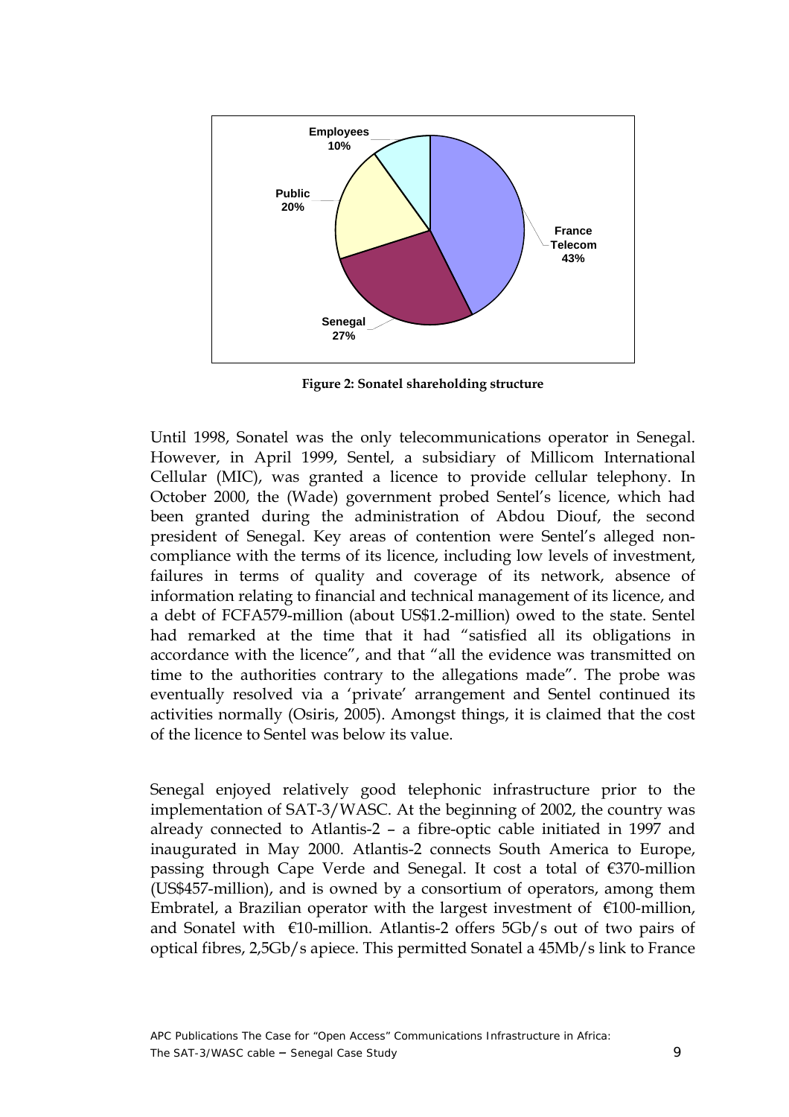<span id="page-8-0"></span>

**Figure 2: Sonatel shareholding structure** 

Until 1998, Sonatel was the only telecommunications operator in Senegal. However, in April 1999, Sentel, a subsidiary of Millicom International Cellular (MIC), was granted a licence to provide cellular telephony. In October 2000, the (Wade) government probed Sentel's licence, which had been granted during the administration of Abdou Diouf, the second president of Senegal. Key areas of contention were Sentel's alleged noncompliance with the terms of its licence, including low levels of investment, failures in terms of quality and coverage of its network, absence of information relating to financial and technical management of its licence, and a debt of FCFA579-million (about US\$1.2-million) owed to the state. Sentel had remarked at the time that it had "satisfied all its obligations in accordance with the licence", and that "all the evidence was transmitted on time to the authorities contrary to the allegations made". The probe was eventually resolved via a 'private' arrangement and Sentel continued its activities normally (Osiris, 2005). Amongst things, it is claimed that the cost of the licence to Sentel was below its value.

Senegal enjoyed relatively good telephonic infrastructure prior to the implementation of SAT-3/WASC. At the beginning of 2002, the country was already connected to Atlantis-2 – a fibre-optic cable initiated in 1997 and inaugurated in May 2000. Atlantis-2 connects South America to Europe, passing through Cape Verde and Senegal. It cost a total of €370-million (US\$457-million), and is owned by a consortium of operators, among them Embratel, a Brazilian operator with the largest investment of  $\epsilon$ 100-million, and Sonatel with  $\epsilon$ 10-million. Atlantis-2 offers 5Gb/s out of two pairs of optical fibres, 2,5Gb/s apiece. This permitted Sonatel a 45Mb/s link to France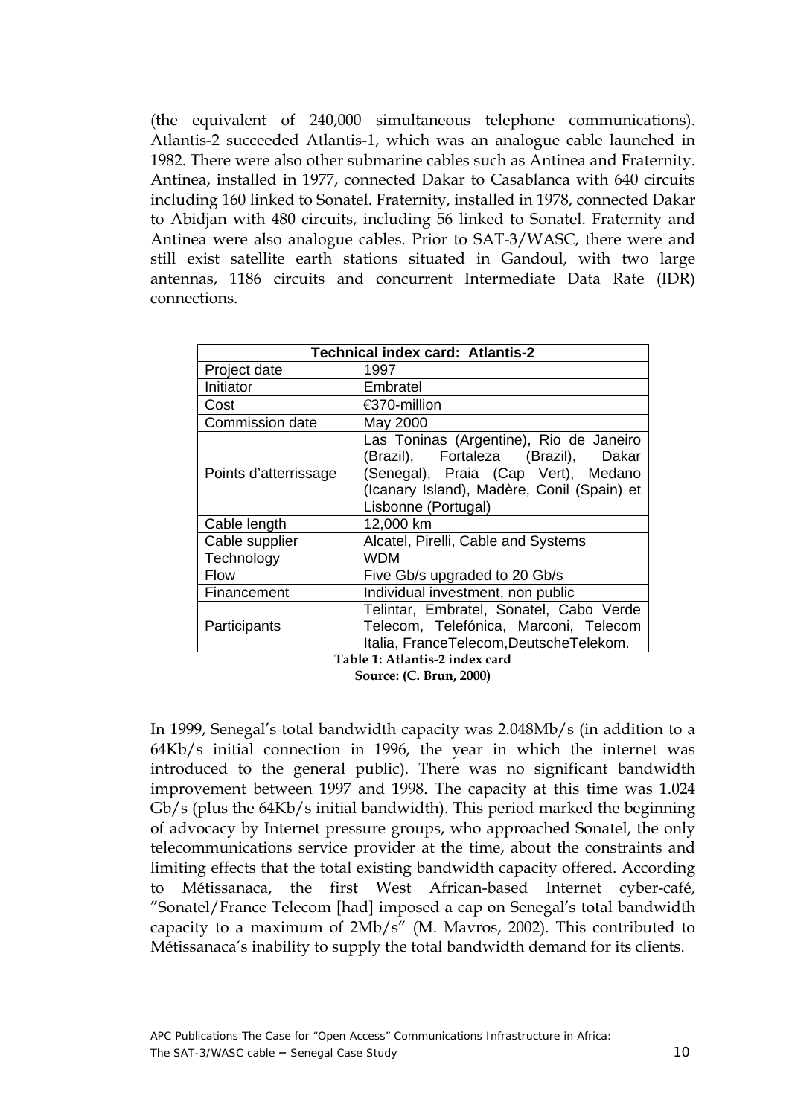<span id="page-9-0"></span>(the equivalent of 240,000 simultaneous telephone communications). Atlantis-2 succeeded Atlantis-1, which was an analogue cable launched in 1982. There were also other submarine cables such as Antinea and Fraternity. Antinea, installed in 1977, connected Dakar to Casablanca with 640 circuits including 160 linked to Sonatel. Fraternity, installed in 1978, connected Dakar to Abidjan with 480 circuits, including 56 linked to Sonatel. Fraternity and Antinea were also analogue cables. Prior to SAT-3/WASC, there were and still exist satellite earth stations situated in Gandoul, with two large antennas, 1186 circuits and concurrent Intermediate Data Rate (IDR) connections.

| <b>Technical index card: Atlantis-2</b> |                                                                                                                                                                                            |  |
|-----------------------------------------|--------------------------------------------------------------------------------------------------------------------------------------------------------------------------------------------|--|
| Project date                            | 1997                                                                                                                                                                                       |  |
| Initiator                               | Embratel                                                                                                                                                                                   |  |
| Cost                                    | €370-million                                                                                                                                                                               |  |
| Commission date                         | May 2000                                                                                                                                                                                   |  |
| Points d'atterrissage                   | Las Toninas (Argentine), Rio de Janeiro<br>(Brazil), Fortaleza (Brazil), Dakar<br>(Senegal), Praia (Cap Vert), Medano<br>(Icanary Island), Madère, Conil (Spain) et<br>Lisbonne (Portugal) |  |
| Cable length                            | 12,000 km                                                                                                                                                                                  |  |
| Cable supplier                          | Alcatel, Pirelli, Cable and Systems                                                                                                                                                        |  |
| Technology                              | <b>WDM</b>                                                                                                                                                                                 |  |
| Flow                                    | Five Gb/s upgraded to 20 Gb/s                                                                                                                                                              |  |
| Financement                             | Individual investment, non public                                                                                                                                                          |  |
| Participants                            | Telintar, Embratel, Sonatel, Cabo Verde<br>Telecom, Telefónica, Marconi, Telecom<br>Italia, FranceTelecom, DeutscheTelekom.                                                                |  |
| Table 1: Atlantis-2 index card          |                                                                                                                                                                                            |  |

**Source: (C. Brun, 2000)** 

In 1999, Senegal's total bandwidth capacity was 2.048Mb/s (in addition to a 64Kb/s initial connection in 1996, the year in which the internet was introduced to the general public). There was no significant bandwidth improvement between 1997 and 1998. The capacity at this time was 1.024 Gb/s (plus the 64Kb/s initial bandwidth). This period marked the beginning of advocacy by Internet pressure groups, who approached Sonatel, the only telecommunications service provider at the time, about the constraints and limiting effects that the total existing bandwidth capacity offered. According to Métissanaca, the first West African-based Internet cyber-café, "Sonatel/France Telecom [had] imposed a cap on Senegal's total bandwidth capacity to a maximum of 2Mb/s" (M. Mavros, 2002). This contributed to Métissanaca's inability to supply the total bandwidth demand for its clients.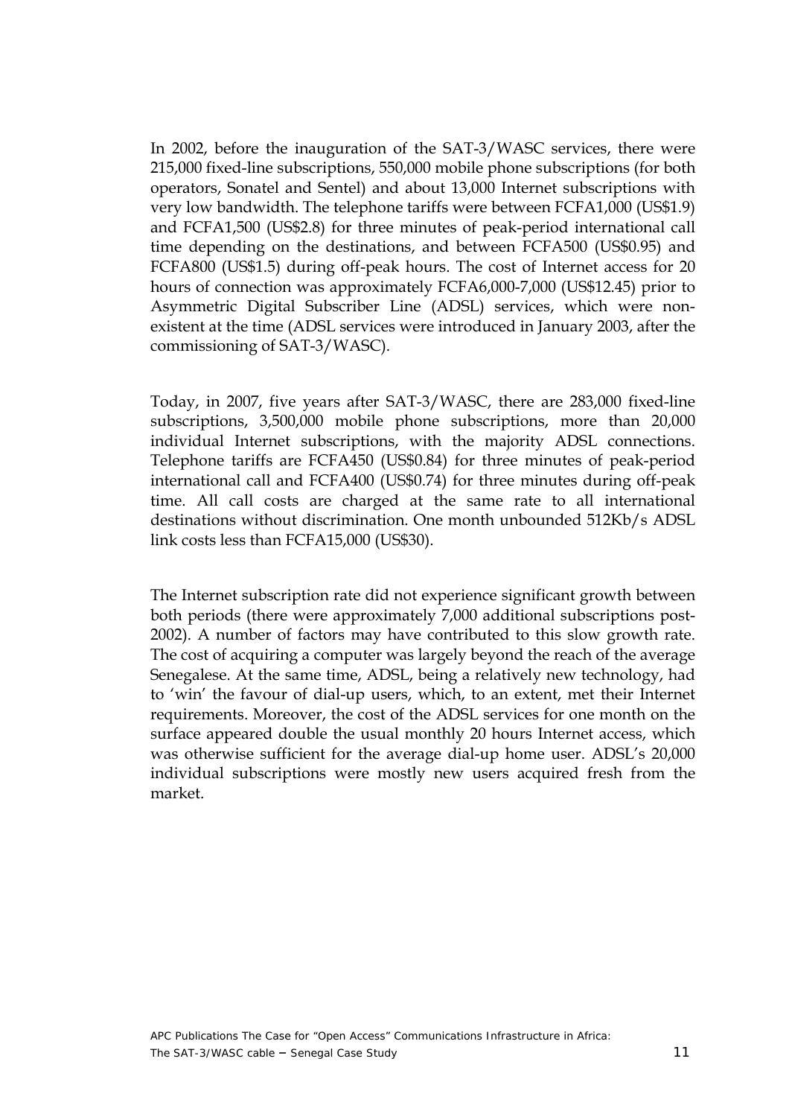In 2002, before the inauguration of the SAT-3/WASC services, there were 215,000 fixed-line subscriptions, 550,000 mobile phone subscriptions (for both operators, Sonatel and Sentel) and about 13,000 Internet subscriptions with very low bandwidth. The telephone tariffs were between FCFA1,000 (US\$1.9) and FCFA1,500 (US\$2.8) for three minutes of peak-period international call time depending on the destinations, and between FCFA500 (US\$0.95) and FCFA800 (US\$1.5) during off-peak hours. The cost of Internet access for 20 hours of connection was approximately FCFA6,000-7,000 (US\$12.45) prior to Asymmetric Digital Subscriber Line (ADSL) services, which were nonexistent at the time (ADSL services were introduced in January 2003, after the commissioning of SAT-3/WASC).

Today, in 2007, five years after SAT-3/WASC, there are 283,000 fixed-line subscriptions, 3,500,000 mobile phone subscriptions, more than 20,000 individual Internet subscriptions, with the majority ADSL connections. Telephone tariffs are FCFA450 (US\$0.84) for three minutes of peak-period international call and FCFA400 (US\$0.74) for three minutes during off-peak time. All call costs are charged at the same rate to all international destinations without discrimination. One month unbounded 512Kb/s ADSL link costs less than FCFA15,000 (US\$30).

The Internet subscription rate did not experience significant growth between both periods (there were approximately 7,000 additional subscriptions post-2002). A number of factors may have contributed to this slow growth rate. The cost of acquiring a computer was largely beyond the reach of the average Senegalese. At the same time, ADSL, being a relatively new technology, had to 'win' the favour of dial-up users, which, to an extent, met their Internet requirements. Moreover, the cost of the ADSL services for one month on the surface appeared double the usual monthly 20 hours Internet access, which was otherwise sufficient for the average dial-up home user. ADSL's 20,000 individual subscriptions were mostly new users acquired fresh from the market.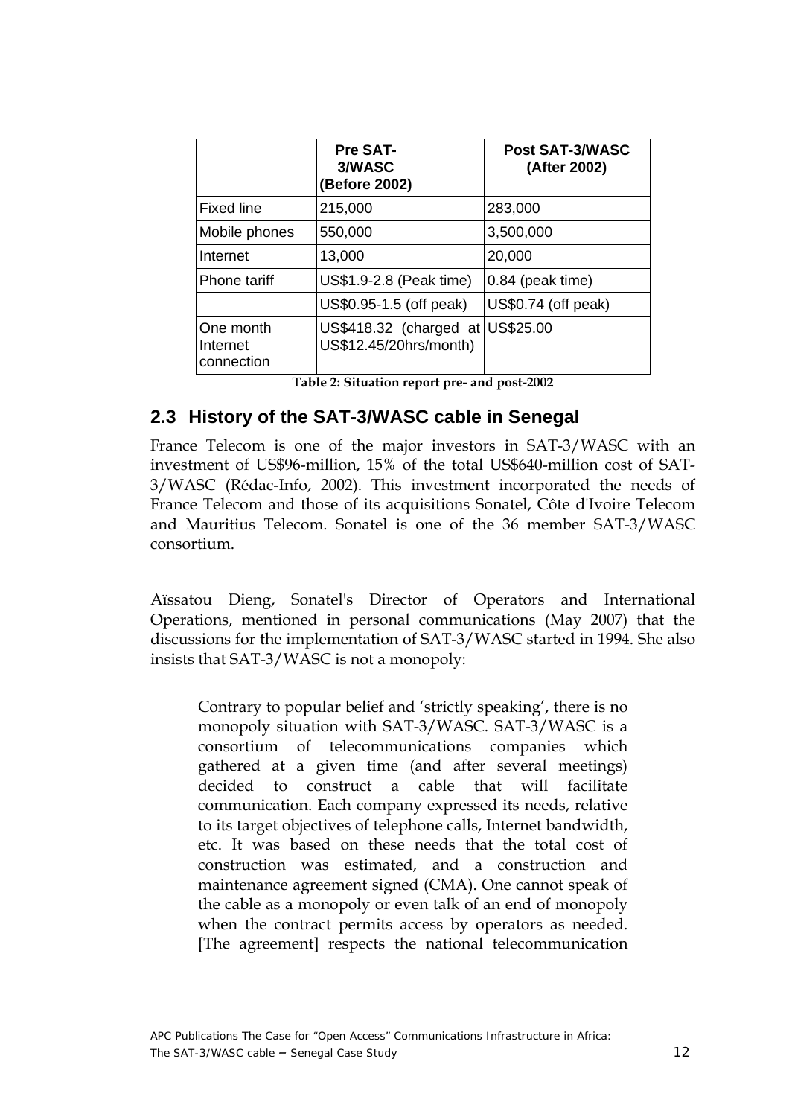<span id="page-11-0"></span>

|                                     | <b>Pre SAT-</b><br>3/WASC<br>(Before 2002)                 | <b>Post SAT-3/WASC</b><br>(After 2002) |
|-------------------------------------|------------------------------------------------------------|----------------------------------------|
| Fixed line                          | 215,000                                                    | 283,000                                |
| Mobile phones                       | 550,000                                                    | 3,500,000                              |
| Internet                            | 13,000                                                     | 20,000                                 |
| Phone tariff                        | US\$1.9-2.8 (Peak time)                                    | 0.84 (peak time)                       |
|                                     | US\$0.95-1.5 (off peak)                                    | US\$0.74 (off peak)                    |
| One month<br>Internet<br>connection | US\$418.32 (charged at US\$25.00<br>US\$12.45/20hrs/month) |                                        |

**Table 2: Situation report pre- and post-2002** 

### **2.3 History of the SAT-3/WASC cable in Senegal**

France Telecom is one of the major investors in SAT-3/WASC with an investment of US\$96-million, 15% of the total US\$640-million cost of SAT-3/WASC (Rédac-Info, 2002). This investment incorporated the needs of France Telecom and those of its acquisitions Sonatel, Côte d'Ivoire Telecom and Mauritius Telecom. Sonatel is one of the 36 member SAT-3/WASC consortium.

Aïssatou Dieng, Sonatel's Director of Operators and International Operations, mentioned in personal communications (May 2007) that the discussions for the implementation of SAT-3/WASC started in 1994. She also insists that SAT-3/WASC is not a monopoly:

Contrary to popular belief and 'strictly speaking', there is no monopoly situation with SAT-3/WASC. SAT-3/WASC is a consortium of telecommunications companies which gathered at a given time (and after several meetings) decided to construct a cable that will facilitate communication. Each company expressed its needs, relative to its target objectives of telephone calls, Internet bandwidth, etc. It was based on these needs that the total cost of construction was estimated, and a construction and maintenance agreement signed (CMA). One cannot speak of the cable as a monopoly or even talk of an end of monopoly when the contract permits access by operators as needed. [The agreement] respects the national telecommunication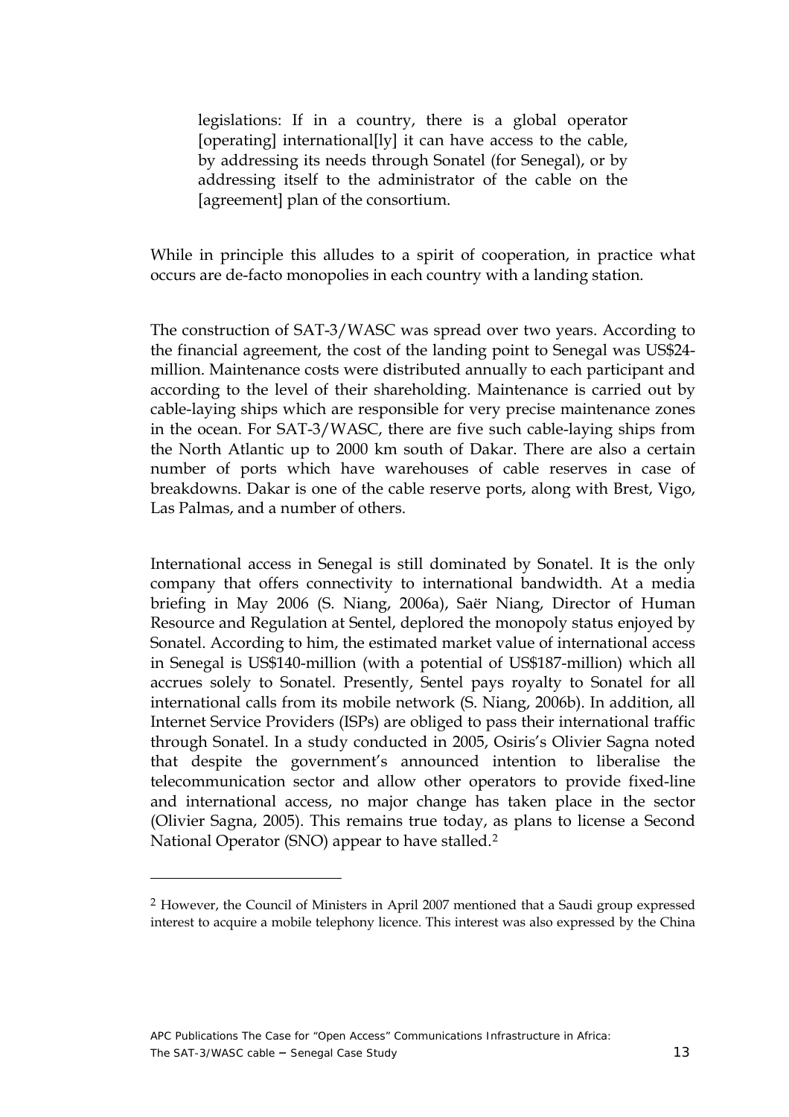legislations: If in a country, there is a global operator [operating] international[ly] it can have access to the cable, by addressing its needs through Sonatel (for Senegal), or by addressing itself to the administrator of the cable on the [agreement] plan of the consortium.

While in principle this alludes to a spirit of cooperation, in practice what occurs are de-facto monopolies in each country with a landing station.

The construction of SAT-3/WASC was spread over two years. According to the financial agreement, the cost of the landing point to Senegal was US\$24 million. Maintenance costs were distributed annually to each participant and according to the level of their shareholding. Maintenance is carried out by cable-laying ships which are responsible for very precise maintenance zones in the ocean. For SAT-3/WASC, there are five such cable-laying ships from the North Atlantic up to 2000 km south of Dakar. There are also a certain number of ports which have warehouses of cable reserves in case of breakdowns. Dakar is one of the cable reserve ports, along with Brest, Vigo, Las Palmas, and a number of others.

International access in Senegal is still dominated by Sonatel. It is the only company that offers connectivity to international bandwidth. At a media briefing in May 2006 (S. Niang, 2006a), Saër Niang, Director of Human Resource and Regulation at Sentel, deplored the monopoly status enjoyed by Sonatel. According to him, the estimated market value of international access in Senegal is US\$140-million (with a potential of US\$187-million) which all accrues solely to Sonatel. Presently, Sentel pays royalty to Sonatel for all international calls from its mobile network (S. Niang, 2006b). In addition, all Internet Service Providers (ISPs) are obliged to pass their international traffic through Sonatel. In a study conducted in 2005, Osiris's Olivier Sagna noted that despite the government's announced intention to liberalise the telecommunication sector and allow other operators to provide fixed-line and international access, no major change has taken place in the sector (Olivier Sagna, 2005). This remains true today, as plans to license a Second National Operator (SNO) appear to have stalled.[2](#page-12-0)

 $\overline{a}$ 

<span id="page-12-0"></span><sup>2</sup> However, the Council of Ministers in April 2007 mentioned that a Saudi group expressed interest to acquire a mobile telephony licence. This interest was also expressed by the China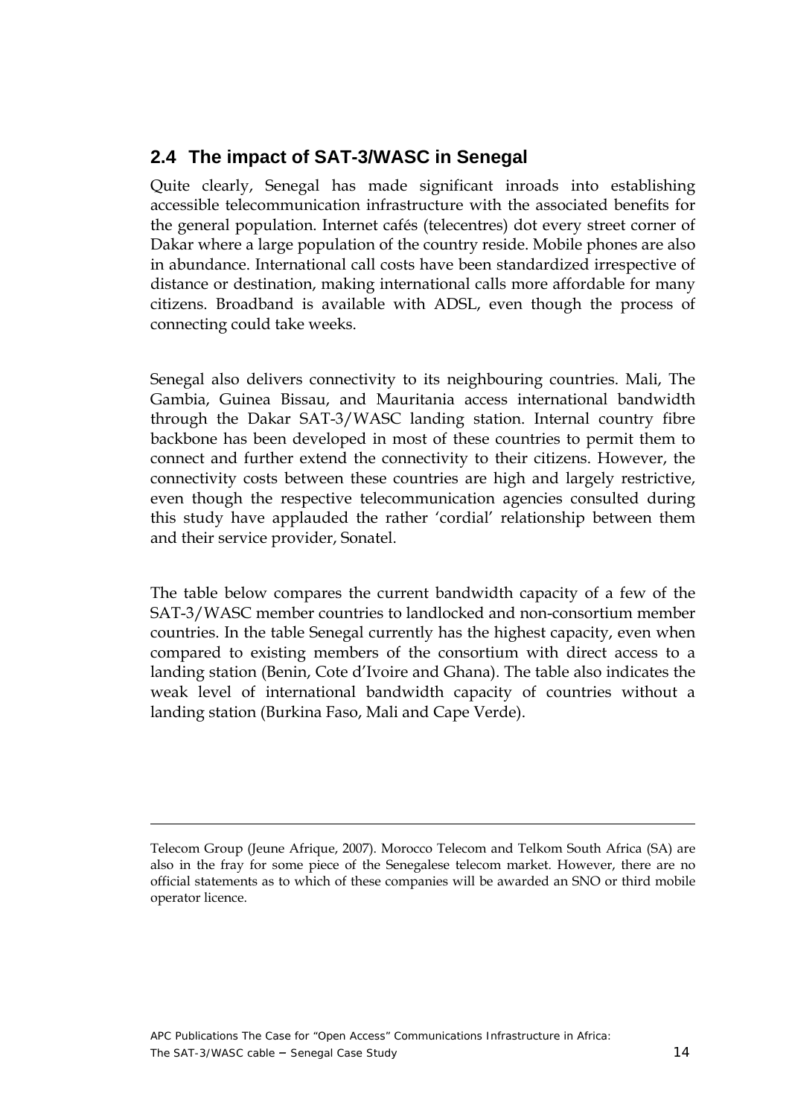## <span id="page-13-0"></span>**2.4 The impact of SAT-3/WASC in Senegal**

Quite clearly, Senegal has made significant inroads into establishing accessible telecommunication infrastructure with the associated benefits for the general population. Internet cafés (telecentres) dot every street corner of Dakar where a large population of the country reside. Mobile phones are also in abundance. International call costs have been standardized irrespective of distance or destination, making international calls more affordable for many citizens. Broadband is available with ADSL, even though the process of connecting could take weeks.

Senegal also delivers connectivity to its neighbouring countries. Mali, The Gambia, Guinea Bissau, and Mauritania access international bandwidth through the Dakar SAT-3/WASC landing station. Internal country fibre backbone has been developed in most of these countries to permit them to connect and further extend the connectivity to their citizens. However, the connectivity costs between these countries are high and largely restrictive, even though the respective telecommunication agencies consulted during this study have applauded the rather 'cordial' relationship between them and their service provider, Sonatel.

The table below compares the current bandwidth capacity of a few of the SAT-3/WASC member countries to landlocked and non-consortium member countries. In the table Senegal currently has the highest capacity, even when compared to existing members of the consortium with direct access to a landing station (Benin, Cote d'Ivoire and Ghana). The table also indicates the weak level of international bandwidth capacity of countries without a landing station (Burkina Faso, Mali and Cape Verde).

 $\overline{a}$ 

Telecom Group (Jeune Afrique, 2007). Morocco Telecom and Telkom South Africa (SA) are also in the fray for some piece of the Senegalese telecom market. However, there are no official statements as to which of these companies will be awarded an SNO or third mobile operator licence.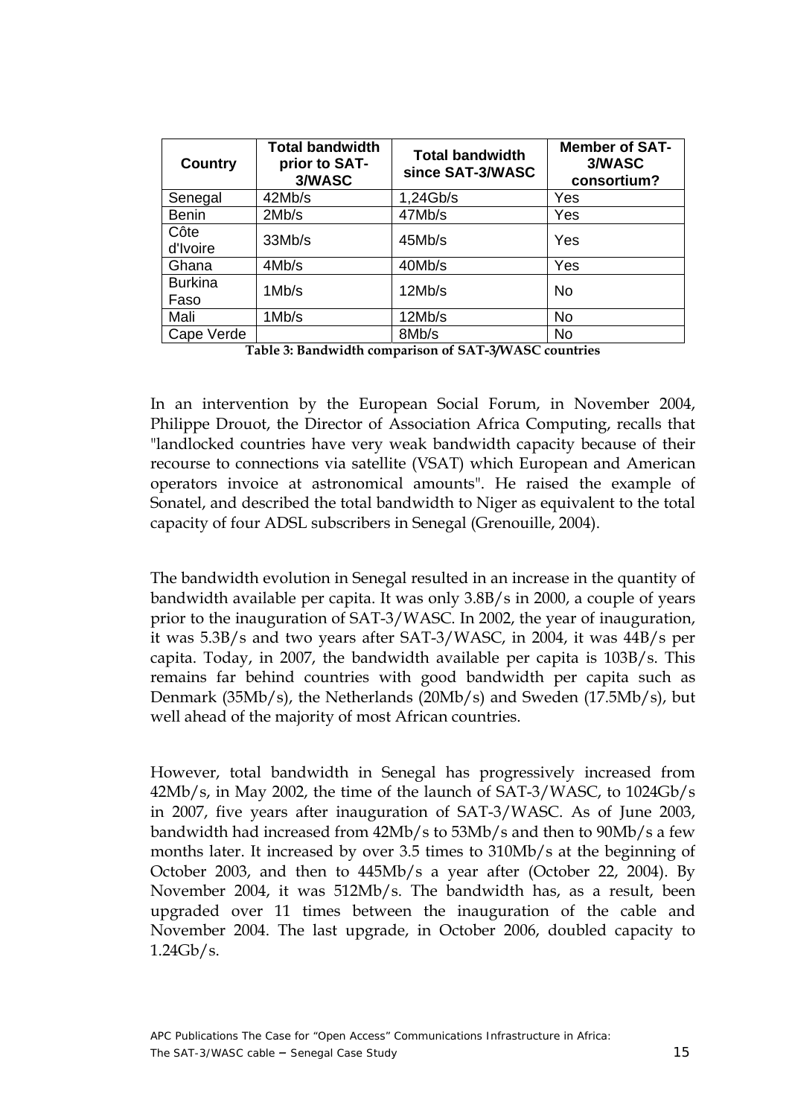<span id="page-14-0"></span>

| Country                | Total bandwidth<br>prior to SAT-<br>3/WASC | <b>Total bandwidth</b><br>since SAT-3/WASC | <b>Member of SAT-</b><br>3/WASC<br>consortium? |
|------------------------|--------------------------------------------|--------------------------------------------|------------------------------------------------|
| Senegal                | 42Mb/s                                     | 1,24Gb/s                                   | Yes                                            |
| <b>Benin</b>           | 2Mb/s                                      | 47Mb/s                                     | Yes                                            |
| Côte<br>d'Ivoire       | 33Mb/s                                     | 45Mb/s                                     | Yes                                            |
| Ghana                  | 4Mb/s                                      | 40Mb/s                                     | Yes                                            |
| <b>Burkina</b><br>Faso | 1Mb/s                                      | 12Mb/s                                     | <b>No</b>                                      |
| Mali                   | 1Mb/s                                      | 12Mb/s                                     | <b>No</b>                                      |
| Cape Verde             |                                            | 8Mb/s                                      | <b>No</b>                                      |

**Table 3: Bandwidth comparison of SAT-3/WASC countries** 

In an intervention by the European Social Forum, in November 2004, Philippe Drouot, the Director of Association Africa Computing, recalls that "landlocked countries have very weak bandwidth capacity because of their recourse to connections via satellite (VSAT) which European and American operators invoice at astronomical amounts". He raised the example of Sonatel, and described the total bandwidth to Niger as equivalent to the total capacity of four ADSL subscribers in Senegal (Grenouille, 2004).

The bandwidth evolution in Senegal resulted in an increase in the quantity of bandwidth available per capita. It was only 3.8B/s in 2000, a couple of years prior to the inauguration of SAT-3/WASC. In 2002, the year of inauguration, it was 5.3B/s and two years after SAT-3/WASC, in 2004, it was 44B/s per capita. Today, in 2007, the bandwidth available per capita is 103B/s. This remains far behind countries with good bandwidth per capita such as Denmark (35Mb/s), the Netherlands (20Mb/s) and Sweden (17.5Mb/s), but well ahead of the majority of most African countries.

However, total bandwidth in Senegal has progressively increased from 42Mb/s, in May 2002, the time of the launch of SAT-3/WASC, to 1024Gb/s in 2007, five years after inauguration of SAT-3/WASC. As of June 2003, bandwidth had increased from 42Mb/s to 53Mb/s and then to 90Mb/s a few months later. It increased by over 3.5 times to 310Mb/s at the beginning of October 2003, and then to 445Mb/s a year after (October 22, 2004). By November 2004, it was 512Mb/s. The bandwidth has, as a result, been upgraded over 11 times between the inauguration of the cable and November 2004. The last upgrade, in October 2006, doubled capacity to 1.24Gb/s.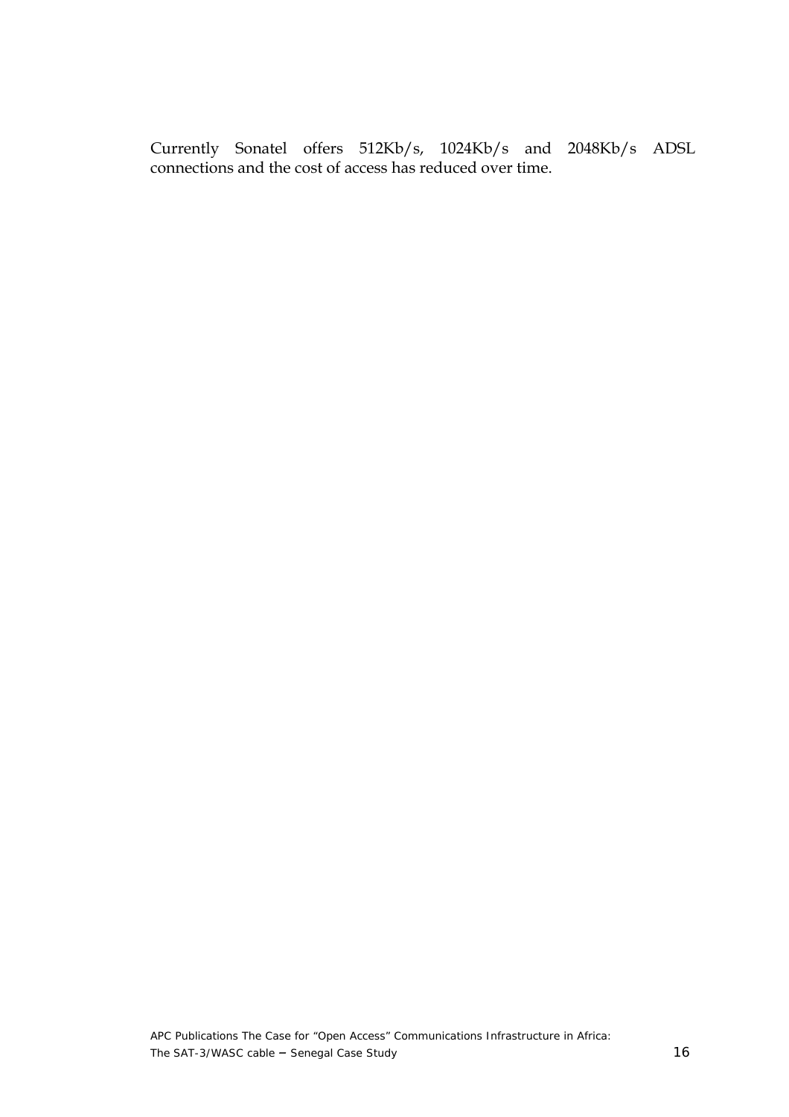Currently Sonatel offers 512Kb/s, 1024Kb/s and 2048Kb/s ADSL connections and the cost of access has reduced over time.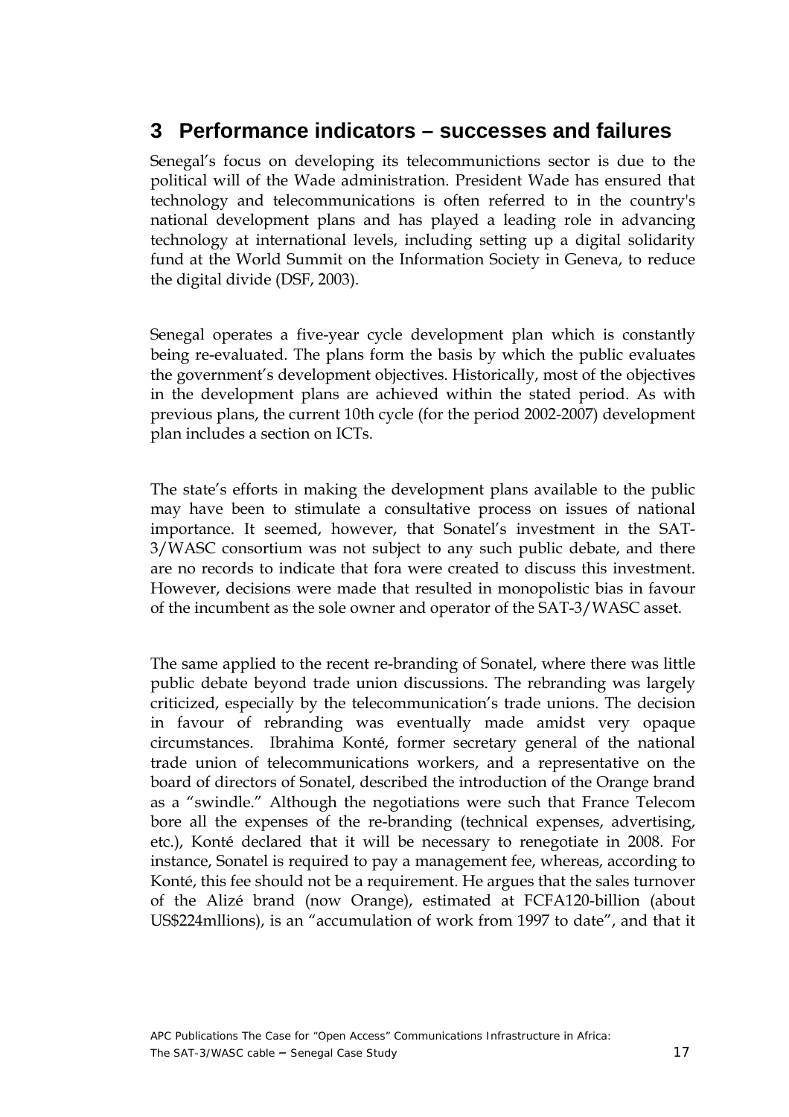## <span id="page-16-0"></span>**3 Performance indicators – successes and failures**

Senegal's focus on developing its telecommunictions sector is due to the political will of the Wade administration. President Wade has ensured that technology and telecommunications is often referred to in the country's national development plans and has played a leading role in advancing technology at international levels, including setting up a digital solidarity fund at the World Summit on the Information Society in Geneva, to reduce the digital divide (DSF, 2003).

Senegal operates a five-year cycle development plan which is constantly being re-evaluated. The plans form the basis by which the public evaluates the government's development objectives. Historically, most of the objectives in the development plans are achieved within the stated period. As with previous plans, the current 10th cycle (for the period 2002-2007) development plan includes a section on ICTs.

The state's efforts in making the development plans available to the public may have been to stimulate a consultative process on issues of national importance. It seemed, however, that Sonatel's investment in the SAT-3/WASC consortium was not subject to any such public debate, and there are no records to indicate that fora were created to discuss this investment. However, decisions were made that resulted in monopolistic bias in favour of the incumbent as the sole owner and operator of the SAT-3/WASC asset.

The same applied to the recent re-branding of Sonatel, where there was little public debate beyond trade union discussions. The rebranding was largely criticized, especially by the telecommunication's trade unions. The decision in favour of rebranding was eventually made amidst very opaque circumstances. Ibrahima Konté, former secretary general of the national trade union of telecommunications workers, and a representative on the board of directors of Sonatel, described the introduction of the Orange brand as a "swindle." Although the negotiations were such that France Telecom bore all the expenses of the re-branding (technical expenses, advertising, etc.), Konté declared that it will be necessary to renegotiate in 2008. For instance, Sonatel is required to pay a management fee, whereas, according to Konté, this fee should not be a requirement. He argues that the sales turnover of the Alizé brand (now Orange), estimated at FCFA120-billion (about US\$224mllions), is an "accumulation of work from 1997 to date", and that it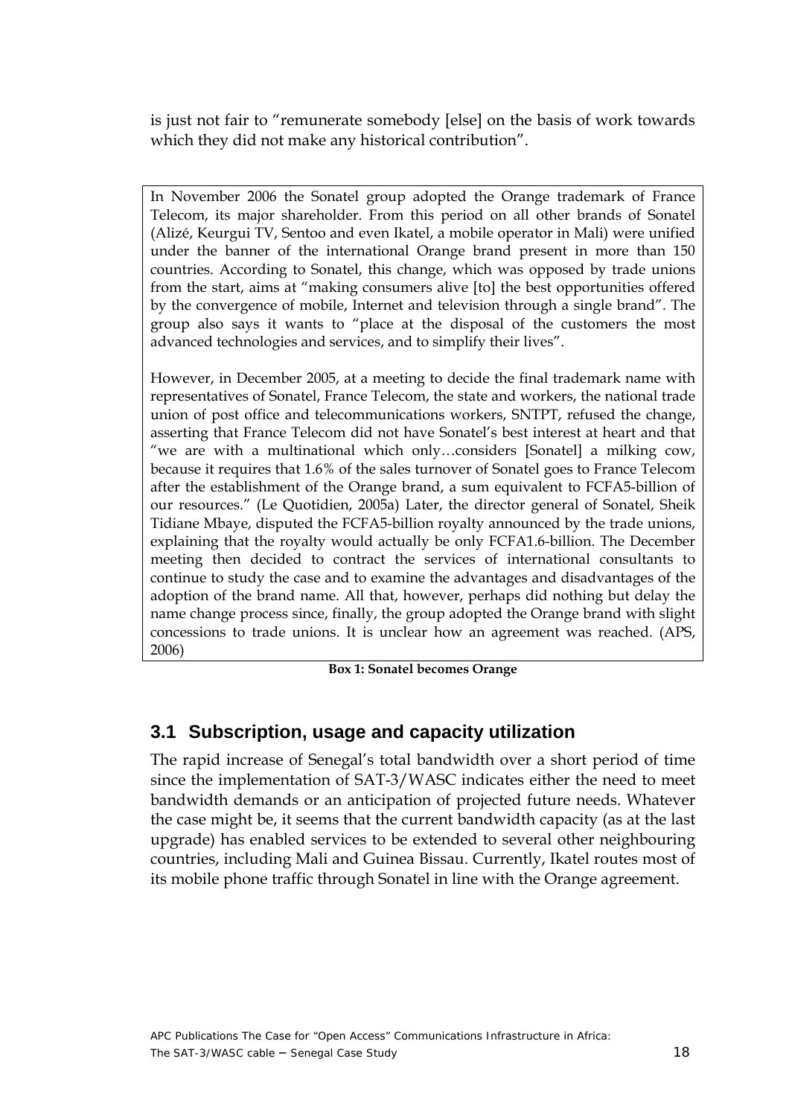<span id="page-17-0"></span>is just not fair to "remunerate somebody [else] on the basis of work towards which they did not make any historical contribution".

In November 2006 the Sonatel group adopted the Orange trademark of France Telecom, its major shareholder. From this period on all other brands of Sonatel (Alizé, Keurgui TV, Sentoo and even Ikatel, a mobile operator in Mali) were unified under the banner of the international Orange brand present in more than 150 countries. According to Sonatel, this change, which was opposed by trade unions from the start, aims at "making consumers alive [to] the best opportunities offered by the convergence of mobile, Internet and television through a single brand". The group also says it wants to "place at the disposal of the customers the most advanced technologies and services, and to simplify their lives".

However, in December 2005, at a meeting to decide the final trademark name with representatives of Sonatel, France Telecom, the state and workers, the national trade union of post office and telecommunications workers, SNTPT, refused the change, asserting that France Telecom did not have Sonatel's best interest at heart and that "we are with a multinational which only…considers [Sonatel] a milking cow, because it requires that 1.6% of the sales turnover of Sonatel goes to France Telecom after the establishment of the Orange brand, a sum equivalent to FCFA5-billion of our resources." (Le Quotidien, 2005a) Later, the director general of Sonatel, Sheik Tidiane Mbaye, disputed the FCFA5-billion royalty announced by the trade unions, explaining that the royalty would actually be only FCFA1.6-billion. The December meeting then decided to contract the services of international consultants to continue to study the case and to examine the advantages and disadvantages of the adoption of the brand name. All that, however, perhaps did nothing but delay the name change process since, finally, the group adopted the Orange brand with slight concessions to trade unions. It is unclear how an agreement was reached. (APS, 2006)

**Box 1: Sonatel becomes Orange** 

### **3.1 Subscription, usage and capacity utilization**

The rapid increase of Senegal's total bandwidth over a short period of time since the implementation of SAT-3/WASC indicates either the need to meet bandwidth demands or an anticipation of projected future needs. Whatever the case might be, it seems that the current bandwidth capacity (as at the last upgrade) has enabled services to be extended to several other neighbouring countries, including Mali and Guinea Bissau. Currently, Ikatel routes most of its mobile phone traffic through Sonatel in line with the Orange agreement.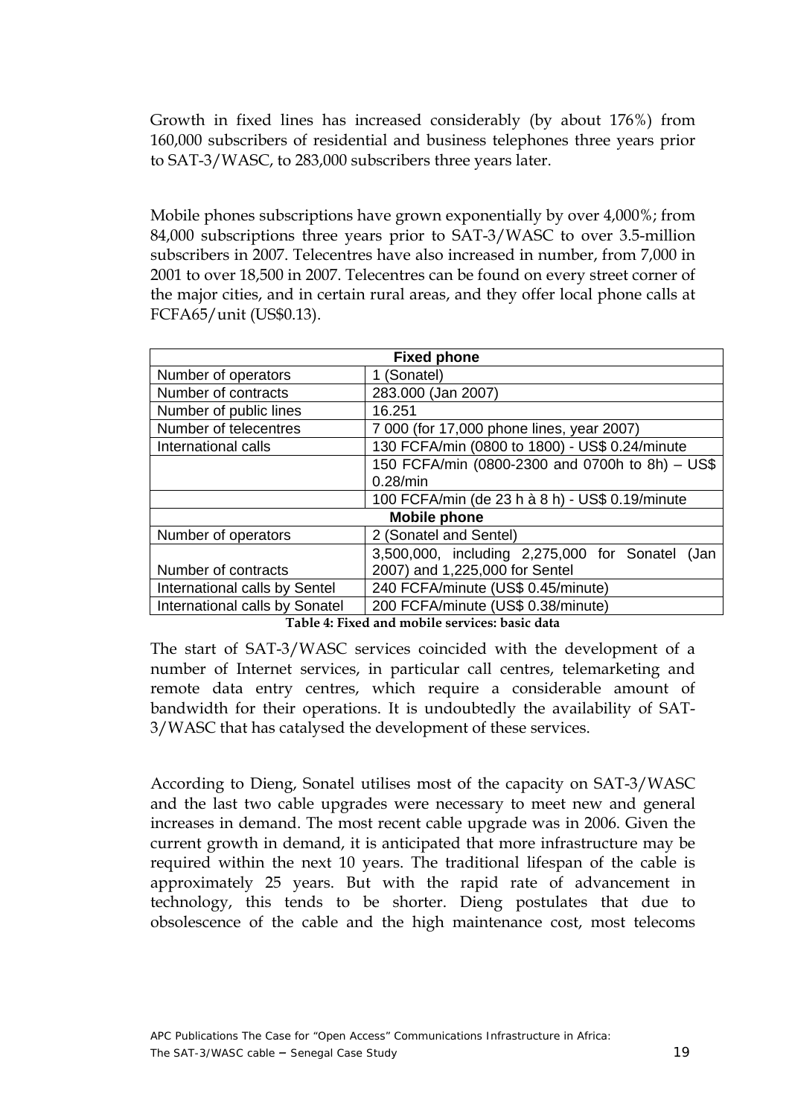<span id="page-18-0"></span>Growth in fixed lines has increased considerably (by about 176%) from 160,000 subscribers of residential and business telephones three years prior to SAT-3/WASC, to 283,000 subscribers three years later.

Mobile phones subscriptions have grown exponentially by over 4,000%; from 84,000 subscriptions three years prior to SAT-3/WASC to over 3.5-million subscribers in 2007. Telecentres have also increased in number, from 7,000 in 2001 to over 18,500 in 2007. Telecentres can be found on every street corner of the major cities, and in certain rural areas, and they offer local phone calls at FCFA65/unit (US\$0.13).

| <b>Fixed phone</b>             |                                                    |  |  |
|--------------------------------|----------------------------------------------------|--|--|
| Number of operators            | 1 (Sonatel)                                        |  |  |
| Number of contracts            | 283.000 (Jan 2007)                                 |  |  |
| Number of public lines         | 16.251                                             |  |  |
| Number of telecentres          | 7 000 (for 17,000 phone lines, year 2007)          |  |  |
| International calls            | 130 FCFA/min (0800 to 1800) - US\$ 0.24/minute     |  |  |
|                                | 150 FCFA/min (0800-2300 and 0700h to 8h) - US\$    |  |  |
|                                | 0.28/min                                           |  |  |
|                                | 100 FCFA/min (de 23 h à 8 h) - US\$ 0.19/minute    |  |  |
| <b>Mobile phone</b>            |                                                    |  |  |
| Number of operators            | 2 (Sonatel and Sentel)                             |  |  |
|                                | 3,500,000, including 2,275,000 for Sonatel<br>(Jan |  |  |
| Number of contracts            | 2007) and 1,225,000 for Sentel                     |  |  |
| International calls by Sentel  | 240 FCFA/minute (US\$ 0.45/minute)                 |  |  |
| International calls by Sonatel | 200 FCFA/minute (US\$ 0.38/minute)                 |  |  |

**Table 4: Fixed and mobile services: basic data** 

The start of SAT-3/WASC services coincided with the development of a number of Internet services, in particular call centres, telemarketing and remote data entry centres, which require a considerable amount of bandwidth for their operations. It is undoubtedly the availability of SAT-3/WASC that has catalysed the development of these services.

According to Dieng, Sonatel utilises most of the capacity on SAT-3/WASC and the last two cable upgrades were necessary to meet new and general increases in demand. The most recent cable upgrade was in 2006. Given the current growth in demand, it is anticipated that more infrastructure may be required within the next 10 years. The traditional lifespan of the cable is approximately 25 years. But with the rapid rate of advancement in technology, this tends to be shorter. Dieng postulates that due to obsolescence of the cable and the high maintenance cost, most telecoms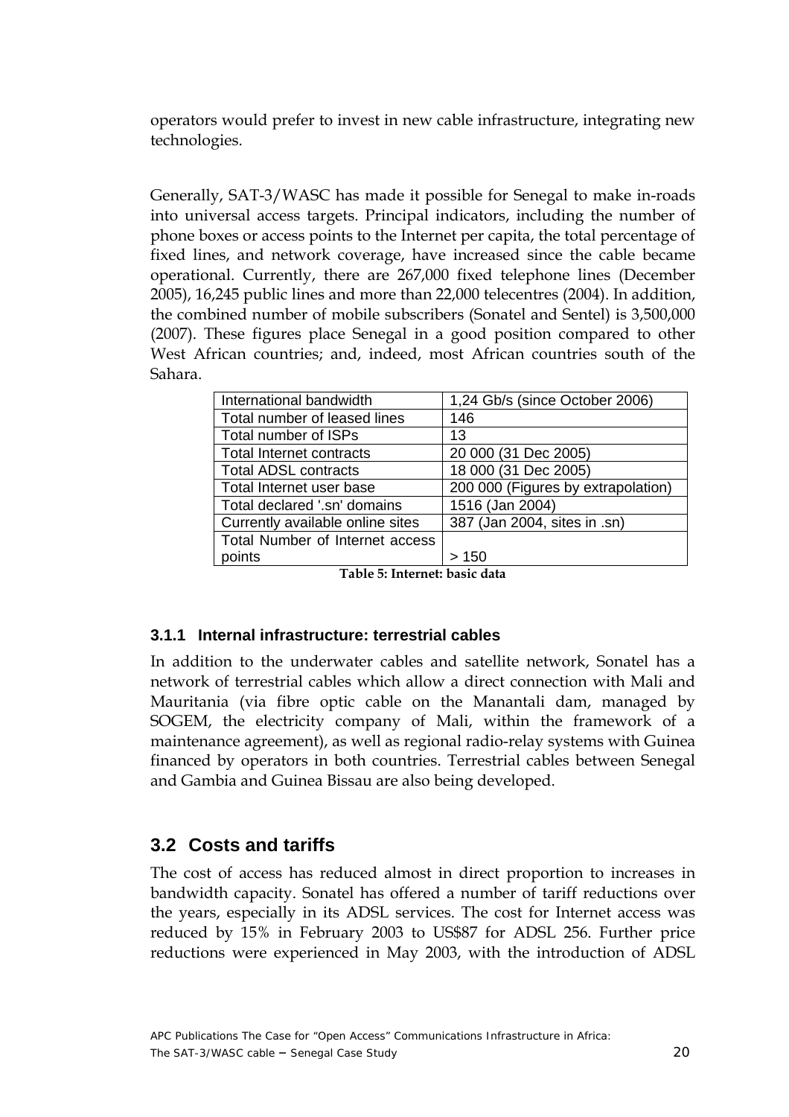<span id="page-19-0"></span>operators would prefer to invest in new cable infrastructure, integrating new technologies.

Generally, SAT-3/WASC has made it possible for Senegal to make in-roads into universal access targets. Principal indicators, including the number of phone boxes or access points to the Internet per capita, the total percentage of fixed lines, and network coverage, have increased since the cable became operational. Currently, there are 267,000 fixed telephone lines (December 2005), 16,245 public lines and more than 22,000 telecentres (2004). In addition, the combined number of mobile subscribers (Sonatel and Sentel) is 3,500,000 (2007). These figures place Senegal in a good position compared to other West African countries; and, indeed, most African countries south of the Sahara.

| International bandwidth          | 1,24 Gb/s (since October 2006)     |
|----------------------------------|------------------------------------|
| Total number of leased lines     | 146                                |
| Total number of ISPs             | 13                                 |
| <b>Total Internet contracts</b>  | 20 000 (31 Dec 2005)               |
| <b>Total ADSL contracts</b>      | 18 000 (31 Dec 2005)               |
| Total Internet user base         | 200 000 (Figures by extrapolation) |
| Total declared '.sn' domains     | 1516 (Jan 2004)                    |
| Currently available online sites | 387 (Jan 2004, sites in .sn)       |
| Total Number of Internet access  |                                    |
| points                           | 150                                |

**Table 5: Internet: basic data** 

#### **3.1.1 Internal infrastructure: terrestrial cables**

In addition to the underwater cables and satellite network, Sonatel has a network of terrestrial cables which allow a direct connection with Mali and Mauritania (via fibre optic cable on the Manantali dam, managed by SOGEM, the electricity company of Mali, within the framework of a maintenance agreement), as well as regional radio-relay systems with Guinea financed by operators in both countries. Terrestrial cables between Senegal and Gambia and Guinea Bissau are also being developed.

### **3.2 Costs and tariffs**

The cost of access has reduced almost in direct proportion to increases in bandwidth capacity. Sonatel has offered a number of tariff reductions over the years, especially in its ADSL services. The cost for Internet access was reduced by 15% in February 2003 to US\$87 for ADSL 256. Further price reductions were experienced in May 2003, with the introduction of ADSL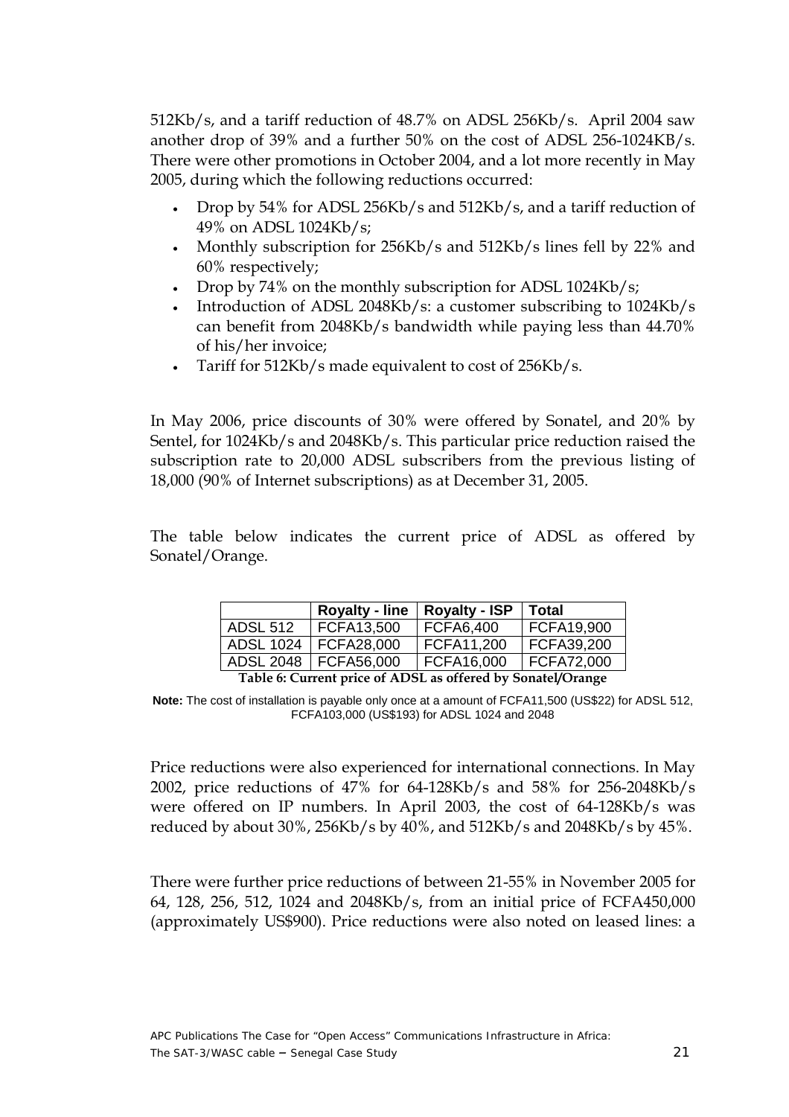<span id="page-20-0"></span>512Kb/s, and a tariff reduction of 48.7% on ADSL 256Kb/s. April 2004 saw another drop of 39% and a further 50% on the cost of ADSL 256-1024KB/s. There were other promotions in October 2004, and a lot more recently in May 2005, during which the following reductions occurred:

- Drop by 54% for ADSL 256Kb/s and 512Kb/s, and a tariff reduction of 49% on ADSL 1024Kb/s;
- Monthly subscription for 256Kb/s and 512Kb/s lines fell by 22% and 60% respectively;
- Drop by 74% on the monthly subscription for ADSL 1024Kb/s;
- Introduction of ADSL 2048Kb/s: a customer subscribing to 1024Kb/s can benefit from 2048Kb/s bandwidth while paying less than 44.70% of his/her invoice;
- Tariff for 512Kb/s made equivalent to cost of 256Kb/s.

In May 2006, price discounts of 30% were offered by Sonatel, and 20% by Sentel, for 1024Kb/s and 2048Kb/s. This particular price reduction raised the subscription rate to 20,000 ADSL subscribers from the previous listing of 18,000 (90% of Internet subscriptions) as at December 31, 2005.

The table below indicates the current price of ADSL as offered by Sonatel/Orange.

|                                                             | <b>Royalty - line</b> | <b>Royalty - ISP</b> | <b>Total</b> |
|-------------------------------------------------------------|-----------------------|----------------------|--------------|
| <b>ADSL 512</b>                                             | FCFA13,500            | FCFA6,400            | FCFA19,900   |
| <b>ADSL 1024</b>                                            | FCFA28,000            | FCFA11,200           | FCFA39,200   |
| <b>ADSL 2048</b>                                            | FCFA56,000            | FCFA16,000           | FCFA72,000   |
| Table 6: Current price of ADSL as offered by Sonatel/Orange |                       |                      |              |

**Note:** The cost of installation is payable only once at a amount of FCFA11,500 (US\$22) for ADSL 512, FCFA103,000 (US\$193) for ADSL 1024 and 2048

Price reductions were also experienced for international connections. In May 2002, price reductions of 47% for 64-128Kb/s and 58% for 256-2048Kb/s were offered on IP numbers. In April 2003, the cost of 64-128Kb/s was reduced by about 30%, 256Kb/s by 40%, and 512Kb/s and 2048Kb/s by 45%.

There were further price reductions of between 21-55% in November 2005 for 64, 128, 256, 512, 1024 and 2048Kb/s, from an initial price of FCFA450,000 (approximately US\$900). Price reductions were also noted on leased lines: a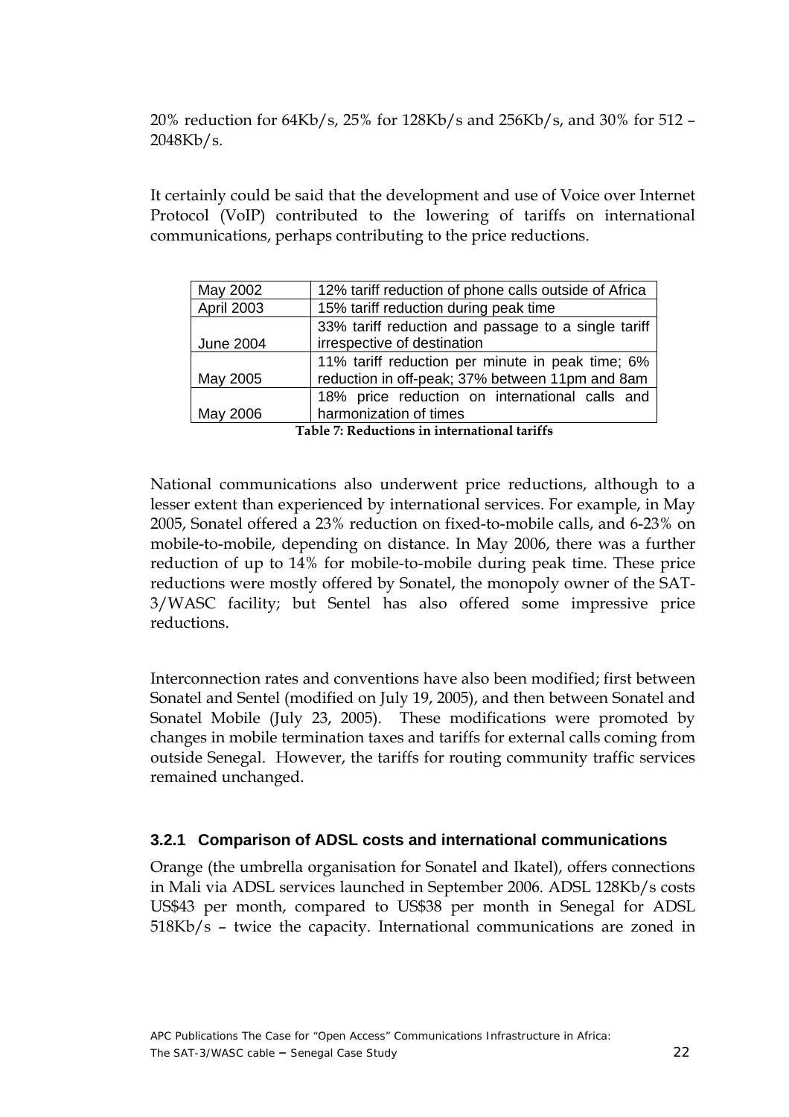<span id="page-21-0"></span>20% reduction for 64Kb/s, 25% for 128Kb/s and 256Kb/s, and 30% for 512 – 2048Kb/s.

It certainly could be said that the development and use of Voice over Internet Protocol (VoIP) contributed to the lowering of tariffs on international communications, perhaps contributing to the price reductions.

| May 2002          | 12% tariff reduction of phone calls outside of Africa                                               |  |  |
|-------------------|-----------------------------------------------------------------------------------------------------|--|--|
| <b>April 2003</b> | 15% tariff reduction during peak time                                                               |  |  |
| <b>June 2004</b>  | 33% tariff reduction and passage to a single tariff<br>irrespective of destination                  |  |  |
| May 2005          | 11% tariff reduction per minute in peak time; 6%<br>reduction in off-peak; 37% between 11pm and 8am |  |  |
|                   | 18% price reduction on international calls and                                                      |  |  |
| May 2006          | harmonization of times                                                                              |  |  |

 **Table 7: Reductions in international tariffs** 

National communications also underwent price reductions, although to a lesser extent than experienced by international services. For example, in May 2005, Sonatel offered a 23% reduction on fixed-to-mobile calls, and 6-23% on mobile-to-mobile, depending on distance. In May 2006, there was a further reduction of up to 14% for mobile-to-mobile during peak time. These price reductions were mostly offered by Sonatel, the monopoly owner of the SAT-3/WASC facility; but Sentel has also offered some impressive price reductions.

Interconnection rates and conventions have also been modified; first between Sonatel and Sentel (modified on July 19, 2005), and then between Sonatel and Sonatel Mobile (July 23, 2005). These modifications were promoted by changes in mobile termination taxes and tariffs for external calls coming from outside Senegal. However, the tariffs for routing community traffic services remained unchanged.

#### **3.2.1 Comparison of ADSL costs and international communications**

Orange (the umbrella organisation for Sonatel and Ikatel), offers connections in Mali via ADSL services launched in September 2006. ADSL 128Kb/s costs US\$43 per month, compared to US\$38 per month in Senegal for ADSL 518Kb/s – twice the capacity. International communications are zoned in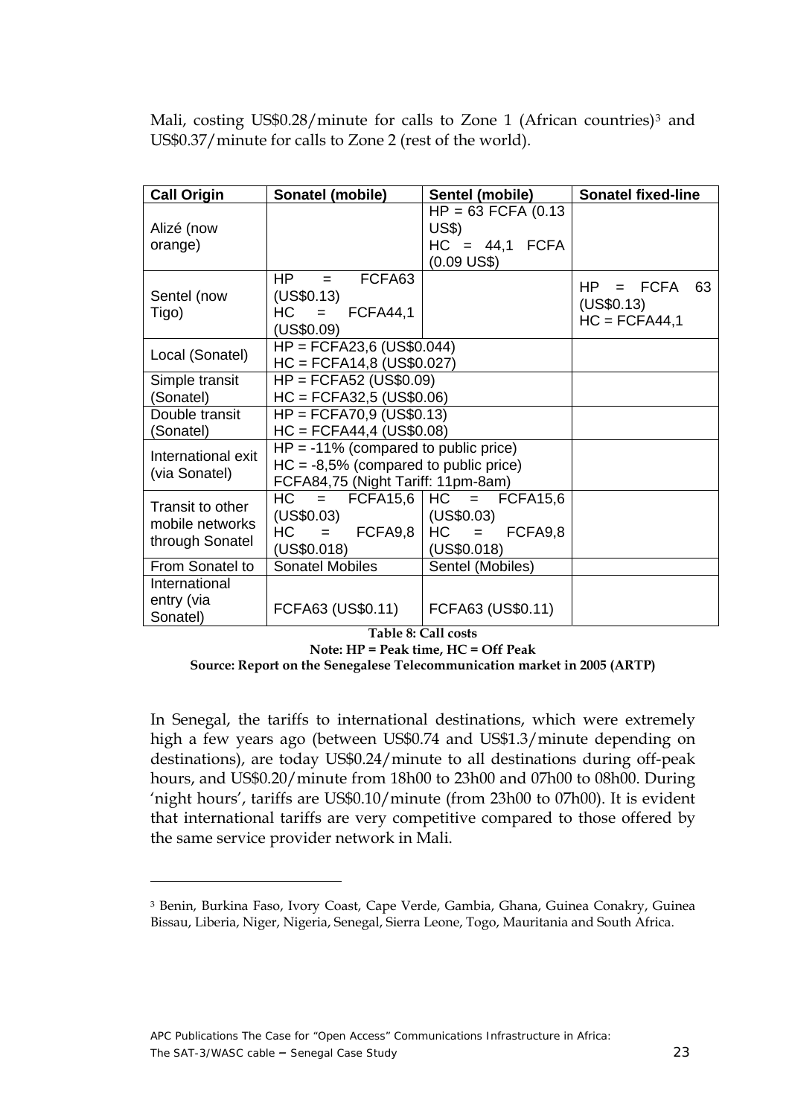<span id="page-22-0"></span>Mali, costing US\$0.28/minute for calls to Zone 1 (African countries)<sup>[3](#page-22-1)</sup> and US\$0.37/minute for calls to Zone 2 (rest of the world).

| <b>Call Origin</b>                                     | Sonatel (mobile)                                                                                                          | Sentel (mobile)                                                           | <b>Sonatel fixed-line</b>                               |
|--------------------------------------------------------|---------------------------------------------------------------------------------------------------------------------------|---------------------------------------------------------------------------|---------------------------------------------------------|
| Alizé (now<br>orange)                                  |                                                                                                                           | $HP = 63$ FCFA (0.13)<br>US\$)<br>$HC = 44.1$ FCFA                        |                                                         |
| Sentel (now<br>Tigo)                                   | FCFA63<br>HP<br>$=$ $-$<br>(US\$0.13)<br>$HC = FCFA44,1$<br>(US\$0.09)                                                    | $(0.09$ US\$)                                                             | $=$ FCFA<br>HP -<br>63<br>(US\$0.13)<br>$HC = FCFA44,1$ |
| Local (Sonatel)                                        | $HP = FCFA23,6 (US$0.044)$<br>$HC = FCFA14,8 (US$0.027)$                                                                  |                                                                           |                                                         |
| Simple transit<br>(Sonatel)                            | $HP = FCFA52 (US$0.09)$<br>$HC = FCFA32,5 (US$0.06)$                                                                      |                                                                           |                                                         |
| Double transit<br>(Sonatel)                            | $HP = FCFA70,9$ (US\$0.13)<br>$HC = FCFA44,4 (US$0.08)$                                                                   |                                                                           |                                                         |
| International exit<br>(via Sonatel)                    | $HP = -11\%$ (compared to public price)<br>$HC = -8.5\%$ (compared to public price)<br>FCFA84,75 (Night Tariff: 11pm-8am) |                                                                           |                                                         |
| Transit to other<br>mobile networks<br>through Sonatel | $HC =$<br>(US\$0.03)<br>$HC = FCFA9.8$<br>(US\$0.018)                                                                     | $FCFA15,6$ $HC = FCFA15,6$<br>(US\$0.03)<br>$HC = FCFA9,8$<br>(US\$0.018) |                                                         |
| From Sonatel to                                        | Sonatel Mobiles                                                                                                           | Sentel (Mobiles)                                                          |                                                         |
| International<br>entry (via<br>Sonatel)                | FCFA63 (US\$0.11)                                                                                                         | FCFA63 (US\$0.11)                                                         |                                                         |

**Table 8: Call costs** 

**Note: HP = Peak time, HC = Off Peak** 

**Source: Report on the Senegalese Telecommunication market in 2005 (ARTP)** 

In Senegal, the tariffs to international destinations, which were extremely high a few years ago (between US\$0.74 and US\$1.3/minute depending on destinations), are today US\$0.24/minute to all destinations during off-peak hours, and US\$0.20/minute from 18h00 to 23h00 and 07h00 to 08h00. During 'night hours', tariffs are US\$0.10/minute (from 23h00 to 07h00). It is evident that international tariffs are very competitive compared to those offered by the same service provider network in Mali.

 $\overline{a}$ 

<span id="page-22-1"></span><sup>3</sup> Benin, Burkina Faso, Ivory Coast, Cape Verde, Gambia, Ghana, Guinea Conakry, Guinea Bissau, Liberia, Niger, Nigeria, Senegal, Sierra Leone, Togo, Mauritania and South Africa.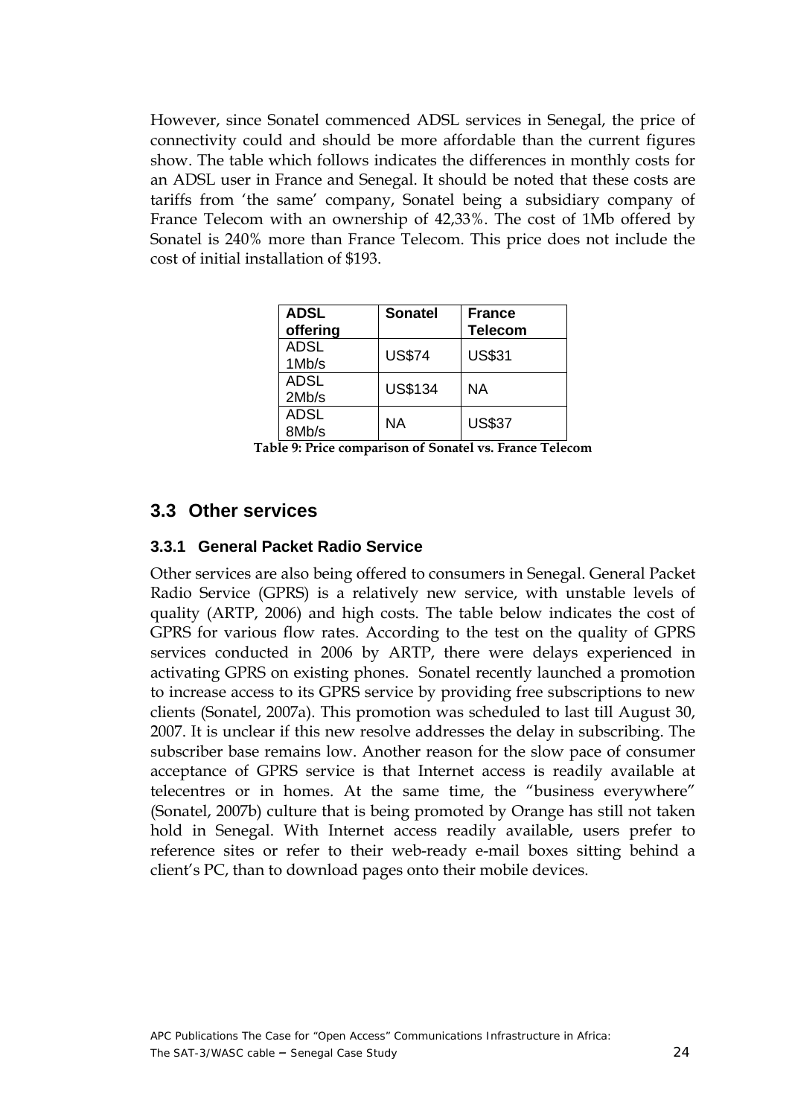<span id="page-23-0"></span>However, since Sonatel commenced ADSL services in Senegal, the price of connectivity could and should be more affordable than the current figures show. The table which follows indicates the differences in monthly costs for an ADSL user in France and Senegal. It should be noted that these costs are tariffs from 'the same' company, Sonatel being a subsidiary company of France Telecom with an ownership of 42,33%. The cost of 1Mb offered by Sonatel is 240% more than France Telecom. This price does not include the cost of initial installation of \$193.

| ADSL<br>offering     | <b>Sonatel</b> | <b>France</b><br><b>Telecom</b> |
|----------------------|----------------|---------------------------------|
| <b>ADSL</b><br>1Mb/s | <b>US\$74</b>  | <b>US\$31</b>                   |
| ADSL<br>2Mb/s        | <b>US\$134</b> | ΝA                              |
| <b>ADSL</b><br>8Mb/s | ΝA             | <b>US\$37</b>                   |

**Table 9: Price comparison of Sonatel vs. France Telecom** 

#### **3.3 Other services**

#### **3.3.1 General Packet Radio Service**

Other services are also being offered to consumers in Senegal. General Packet Radio Service (GPRS) is a relatively new service, with unstable levels of quality (ARTP, 2006) and high costs. The table below indicates the cost of GPRS for various flow rates. According to the test on the quality of GPRS services conducted in 2006 by ARTP, there were delays experienced in activating GPRS on existing phones. Sonatel recently launched a promotion to increase access to its GPRS service by providing free subscriptions to new clients (Sonatel, 2007a). This promotion was scheduled to last till August 30, 2007. It is unclear if this new resolve addresses the delay in subscribing. The subscriber base remains low. Another reason for the slow pace of consumer acceptance of GPRS service is that Internet access is readily available at telecentres or in homes. At the same time, the "business everywhere" (Sonatel, 2007b) culture that is being promoted by Orange has still not taken hold in Senegal. With Internet access readily available, users prefer to reference sites or refer to their web-ready e-mail boxes sitting behind a client's PC, than to download pages onto their mobile devices.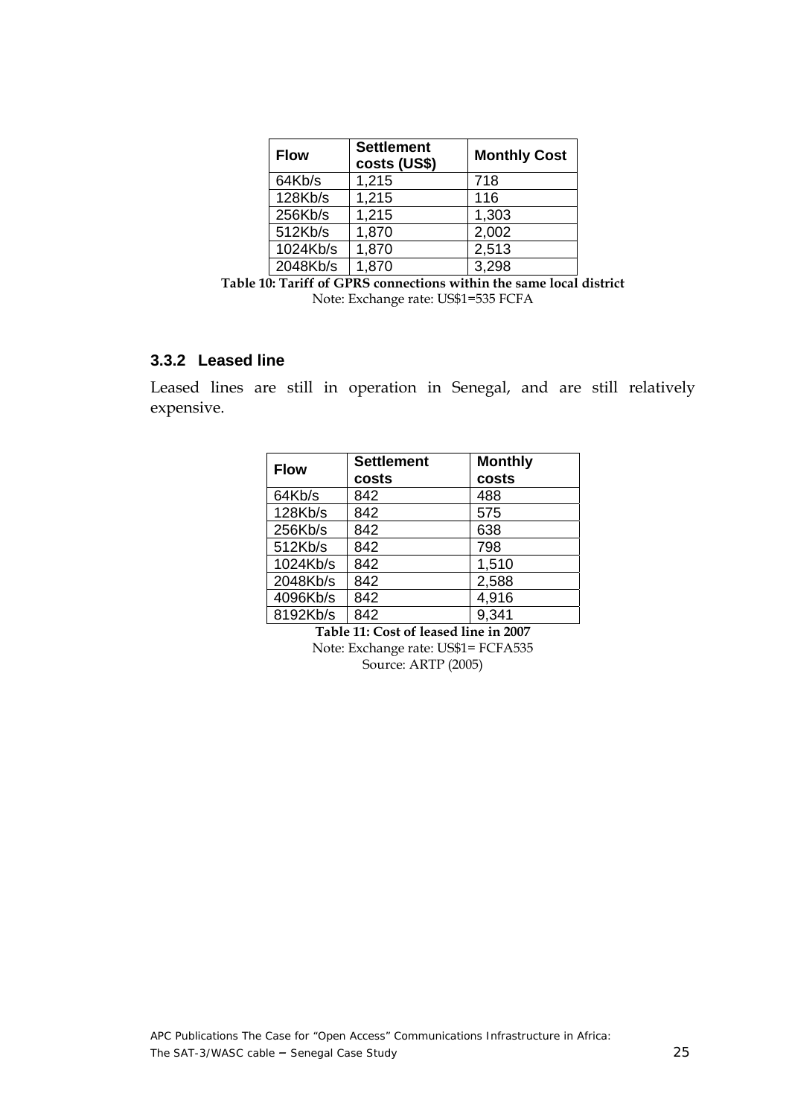<span id="page-24-0"></span>

| <b>Flow</b> | <b>Settlement</b><br>costs (US\$) | <b>Monthly Cost</b> |
|-------------|-----------------------------------|---------------------|
| 64Kb/s      | 1,215                             | 718                 |
| 128Kb/s     | 1,215                             | 116                 |
| 256Kb/s     | 1,215                             | 1,303               |
| 512Kb/s     | 1,870                             | 2,002               |
| 1024Kb/s    | 1,870                             | 2,513               |
| 2048Kb/s    | 1,870                             | 3,298               |

**Table 10: Tariff of GPRS connections within the same local district**  Note: Exchange rate: US\$1=535 FCFA

#### **3.3.2 Leased line**

Leased lines are still in operation in Senegal, and are still relatively expensive.

| <b>Flow</b> | <b>Settlement</b> | <b>Monthly</b> |
|-------------|-------------------|----------------|
|             | costs             | costs          |
| 64Kb/s      | 842               | 488            |
| 128Kb/s     | 842               | 575            |
| 256Kb/s     | 842               | 638            |
| 512Kb/s     | 842               | 798            |
| 1024Kb/s    | 842               | 1,510          |
| 2048Kb/s    | 842               | 2,588          |
| 4096Kb/s    | 842               | 4,916          |
| 8192Kb/s    | 842               | 9,341          |

**Table 11: Cost of leased line in 2007**  Note: Exchange rate: US\$1= FCFA535

Source: ARTP (2005)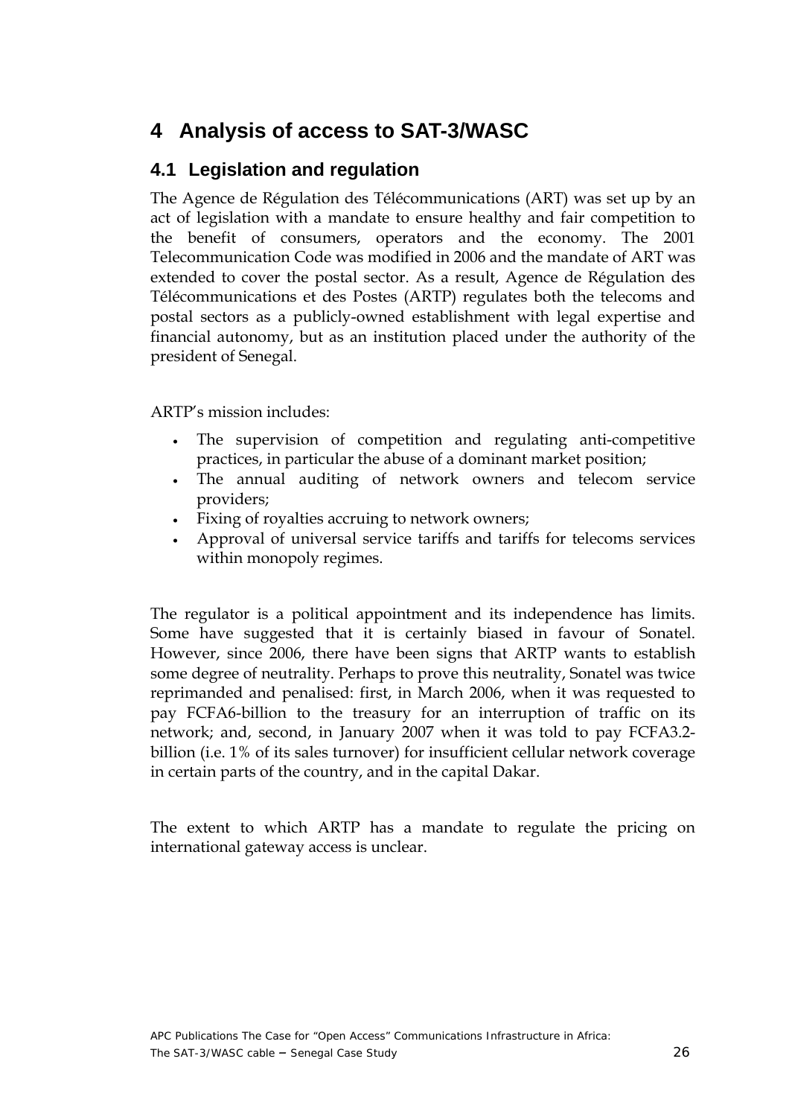## <span id="page-25-0"></span>**4 Analysis of access to SAT-3/WASC**

### **4.1 Legislation and regulation**

The Agence de Régulation des Télécommunications (ART) was set up by an act of legislation with a mandate to ensure healthy and fair competition to the benefit of consumers, operators and the economy. The 2001 Telecommunication Code was modified in 2006 and the mandate of ART was extended to cover the postal sector. As a result, Agence de Régulation des Télécommunications et des Postes (ARTP) regulates both the telecoms and postal sectors as a publicly-owned establishment with legal expertise and financial autonomy, but as an institution placed under the authority of the president of Senegal.

ARTP's mission includes:

- The supervision of competition and regulating anti-competitive practices, in particular the abuse of a dominant market position;
- The annual auditing of network owners and telecom service providers;
- Fixing of royalties accruing to network owners;
- Approval of universal service tariffs and tariffs for telecoms services within monopoly regimes.

The regulator is a political appointment and its independence has limits. Some have suggested that it is certainly biased in favour of Sonatel. However, since 2006, there have been signs that ARTP wants to establish some degree of neutrality. Perhaps to prove this neutrality, Sonatel was twice reprimanded and penalised: first, in March 2006, when it was requested to pay FCFA6-billion to the treasury for an interruption of traffic on its network; and, second, in January 2007 when it was told to pay FCFA3.2 billion (i.e. 1% of its sales turnover) for insufficient cellular network coverage in certain parts of the country, and in the capital Dakar.

The extent to which ARTP has a mandate to regulate the pricing on international gateway access is unclear.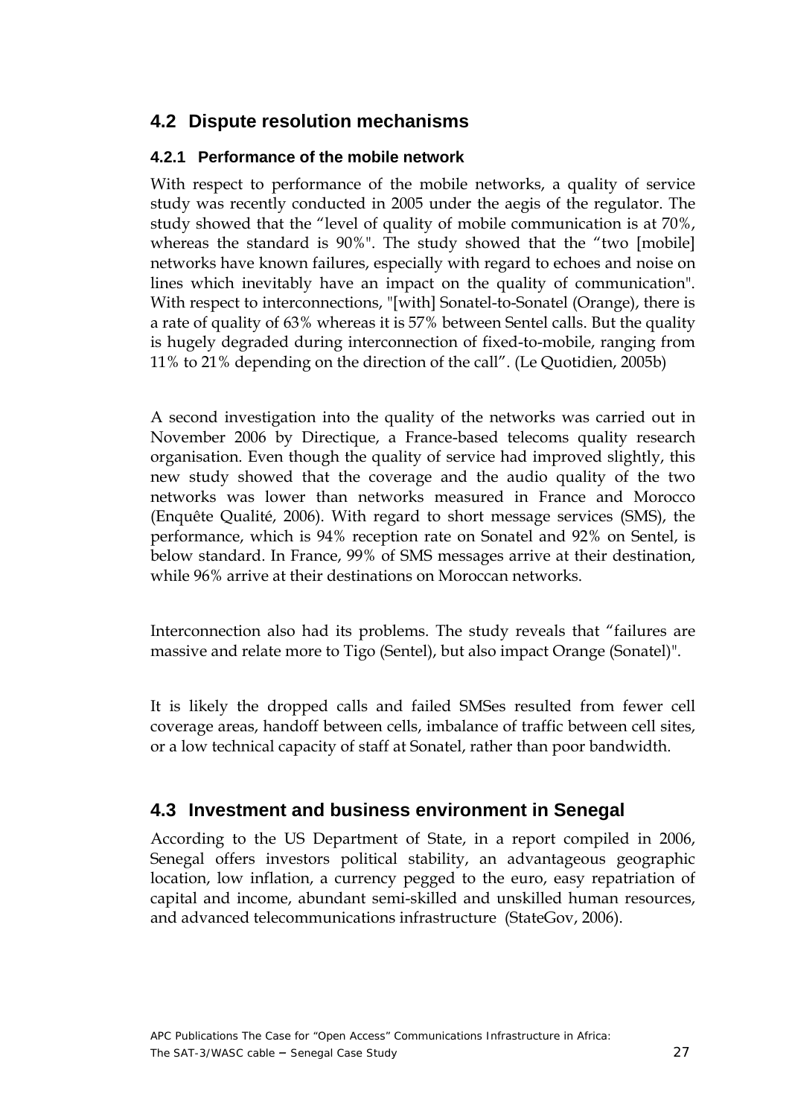### <span id="page-26-0"></span>**4.2 Dispute resolution mechanisms**

#### **4.2.1 Performance of the mobile network**

With respect to performance of the mobile networks, a quality of service study was recently conducted in 2005 under the aegis of the regulator. The study showed that the "level of quality of mobile communication is at 70%, whereas the standard is 90%". The study showed that the "two [mobile] networks have known failures, especially with regard to echoes and noise on lines which inevitably have an impact on the quality of communication". With respect to interconnections, "[with] Sonatel-to-Sonatel (Orange), there is a rate of quality of 63% whereas it is 57% between Sentel calls. But the quality is hugely degraded during interconnection of fixed-to-mobile, ranging from 11% to 21% depending on the direction of the call". (Le Quotidien, 2005b)

A second investigation into the quality of the networks was carried out in November 2006 by Directique, a France-based telecoms quality research organisation. Even though the quality of service had improved slightly, this new study showed that the coverage and the audio quality of the two networks was lower than networks measured in France and Morocco (Enquête Qualité, 2006). With regard to short message services (SMS), the performance, which is 94% reception rate on Sonatel and 92% on Sentel, is below standard. In France, 99% of SMS messages arrive at their destination, while 96% arrive at their destinations on Moroccan networks.

Interconnection also had its problems. The study reveals that "failures are massive and relate more to Tigo (Sentel), but also impact Orange (Sonatel)".

It is likely the dropped calls and failed SMSes resulted from fewer cell coverage areas, handoff between cells, imbalance of traffic between cell sites, or a low technical capacity of staff at Sonatel, rather than poor bandwidth.

### **4.3 Investment and business environment in Senegal**

According to the US Department of State, in a report compiled in 2006, Senegal offers investors political stability, an advantageous geographic location, low inflation, a currency pegged to the euro, easy repatriation of capital and income, abundant semi-skilled and unskilled human resources, and advanced telecommunications infrastructure (StateGov, 2006).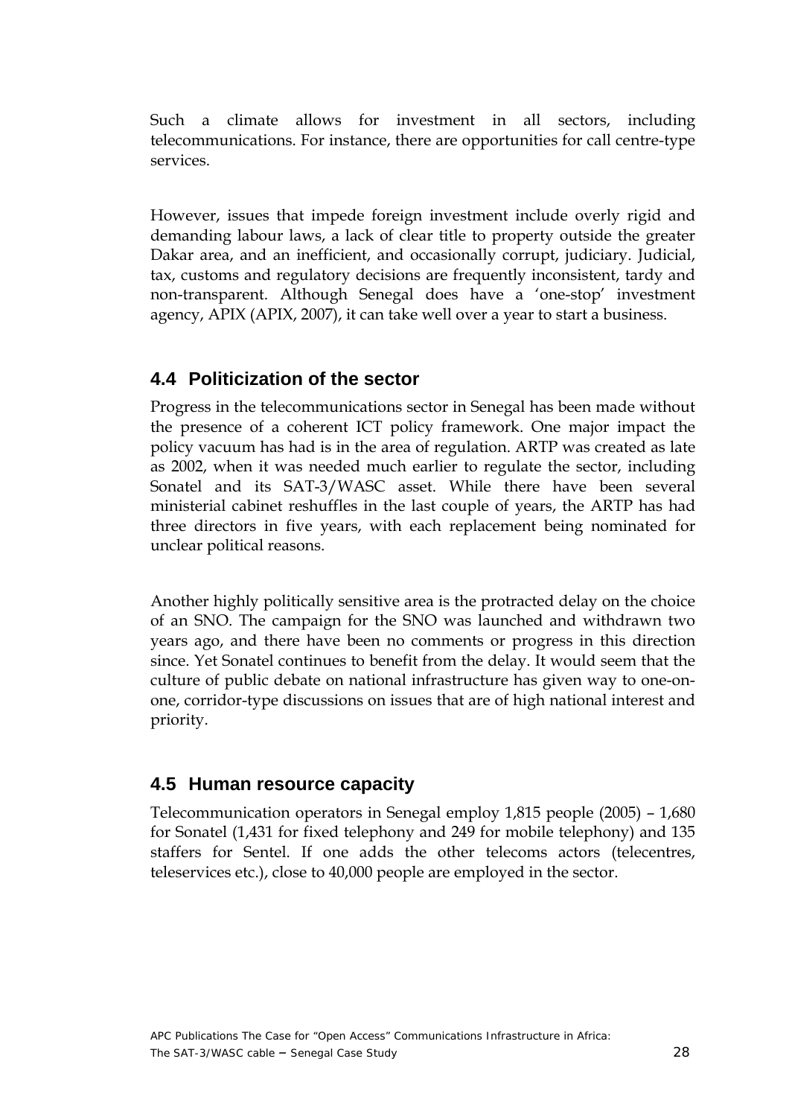<span id="page-27-0"></span>Such a climate allows for investment in all sectors, including telecommunications. For instance, there are opportunities for call centre-type services.

However, issues that impede foreign investment include overly rigid and demanding labour laws, a lack of clear title to property outside the greater Dakar area, and an inefficient, and occasionally corrupt, judiciary. Judicial, tax, customs and regulatory decisions are frequently inconsistent, tardy and non-transparent. Although Senegal does have a 'one-stop' investment agency, APIX (APIX, 2007), it can take well over a year to start a business.

## **4.4 Politicization of the sector**

Progress in the telecommunications sector in Senegal has been made without the presence of a coherent ICT policy framework. One major impact the policy vacuum has had is in the area of regulation. ARTP was created as late as 2002, when it was needed much earlier to regulate the sector, including Sonatel and its SAT-3/WASC asset. While there have been several ministerial cabinet reshuffles in the last couple of years, the ARTP has had three directors in five years, with each replacement being nominated for unclear political reasons.

Another highly politically sensitive area is the protracted delay on the choice of an SNO. The campaign for the SNO was launched and withdrawn two years ago, and there have been no comments or progress in this direction since. Yet Sonatel continues to benefit from the delay. It would seem that the culture of public debate on national infrastructure has given way to one-onone, corridor-type discussions on issues that are of high national interest and priority.

## **4.5 Human resource capacity**

Telecommunication operators in Senegal employ 1,815 people (2005) – 1,680 for Sonatel (1,431 for fixed telephony and 249 for mobile telephony) and 135 staffers for Sentel. If one adds the other telecoms actors (telecentres, teleservices etc.), close to 40,000 people are employed in the sector.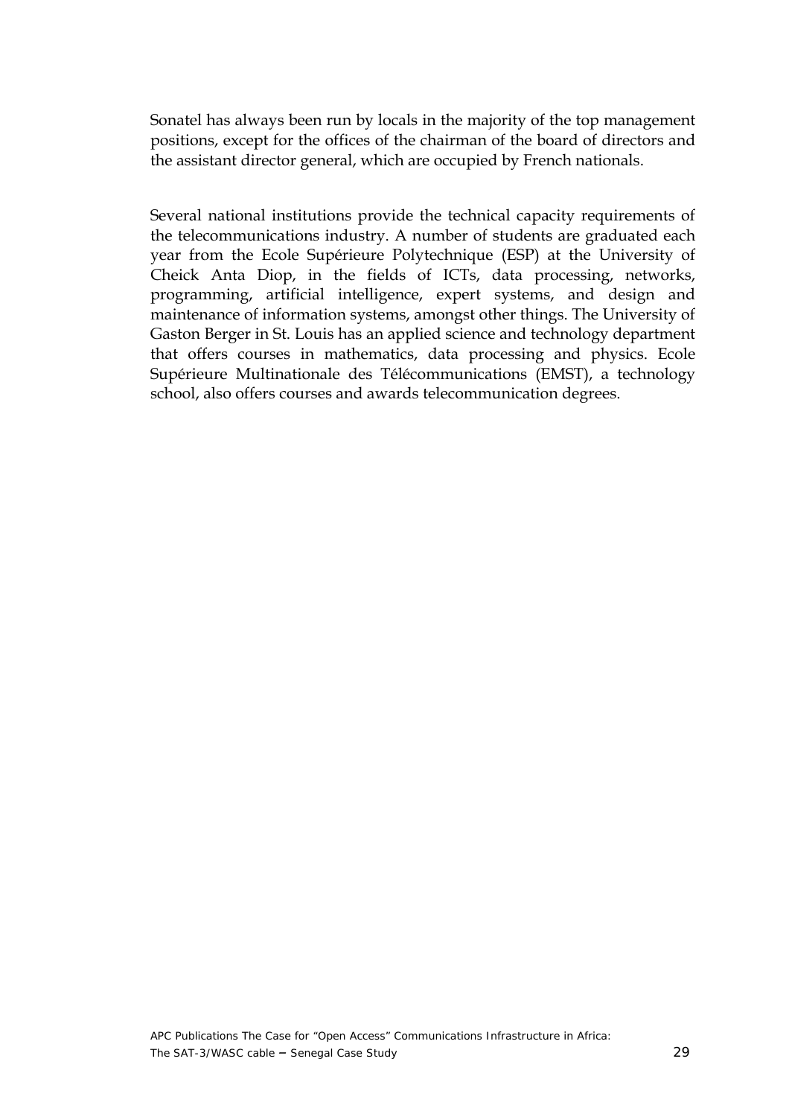Sonatel has always been run by locals in the majority of the top management positions, except for the offices of the chairman of the board of directors and the assistant director general, which are occupied by French nationals.

Several national institutions provide the technical capacity requirements of the telecommunications industry. A number of students are graduated each year from the Ecole Supérieure Polytechnique (ESP) at the University of Cheick Anta Diop, in the fields of ICTs, data processing, networks, programming, artificial intelligence, expert systems, and design and maintenance of information systems, amongst other things. The University of Gaston Berger in St. Louis has an applied science and technology department that offers courses in mathematics, data processing and physics. Ecole Supérieure Multinationale des Télécommunications (EMST), a technology school, also offers courses and awards telecommunication degrees.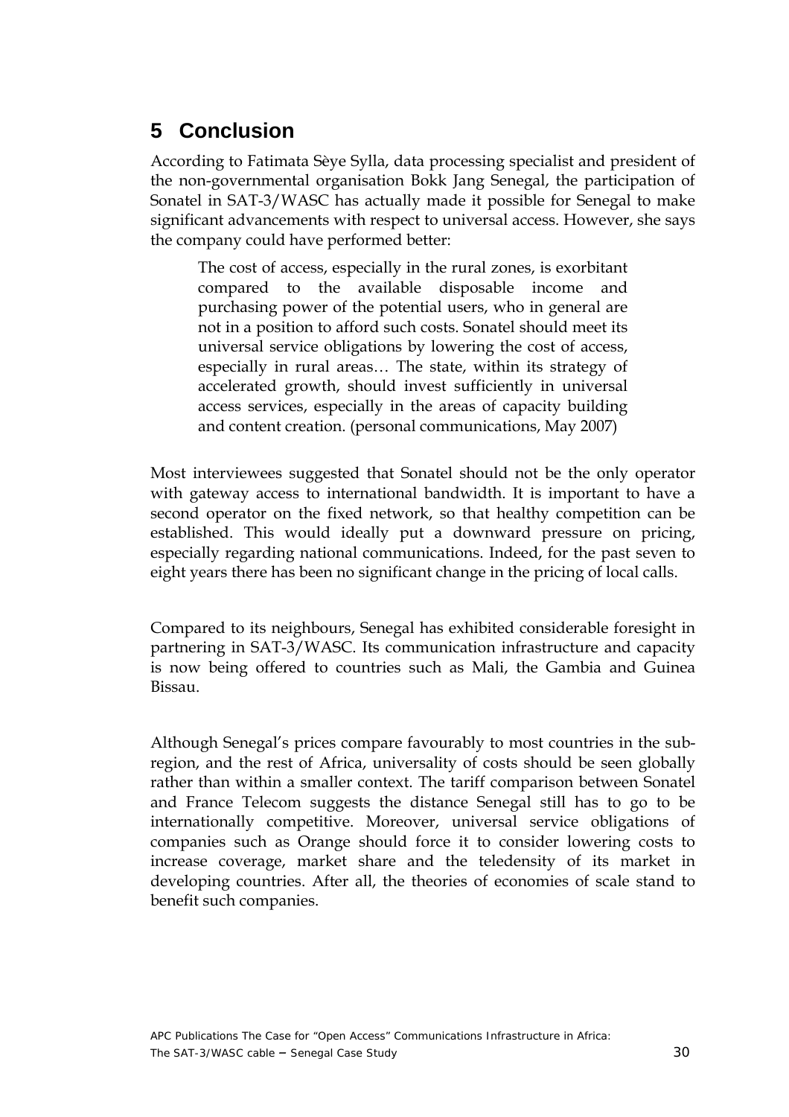## <span id="page-29-0"></span>**5 Conclusion**

According to Fatimata Sèye Sylla, data processing specialist and president of the non-governmental organisation Bokk Jang Senegal, the participation of Sonatel in SAT-3/WASC has actually made it possible for Senegal to make significant advancements with respect to universal access. However, she says the company could have performed better:

The cost of access, especially in the rural zones, is exorbitant compared to the available disposable income and purchasing power of the potential users, who in general are not in a position to afford such costs. Sonatel should meet its universal service obligations by lowering the cost of access, especially in rural areas… The state, within its strategy of accelerated growth, should invest sufficiently in universal access services, especially in the areas of capacity building and content creation. (personal communications, May 2007)

Most interviewees suggested that Sonatel should not be the only operator with gateway access to international bandwidth. It is important to have a second operator on the fixed network, so that healthy competition can be established. This would ideally put a downward pressure on pricing, especially regarding national communications. Indeed, for the past seven to eight years there has been no significant change in the pricing of local calls.

Compared to its neighbours, Senegal has exhibited considerable foresight in partnering in SAT-3/WASC. Its communication infrastructure and capacity is now being offered to countries such as Mali, the Gambia and Guinea Bissau.

Although Senegal's prices compare favourably to most countries in the subregion, and the rest of Africa, universality of costs should be seen globally rather than within a smaller context. The tariff comparison between Sonatel and France Telecom suggests the distance Senegal still has to go to be internationally competitive. Moreover, universal service obligations of companies such as Orange should force it to consider lowering costs to increase coverage, market share and the teledensity of its market in developing countries. After all, the theories of economies of scale stand to benefit such companies.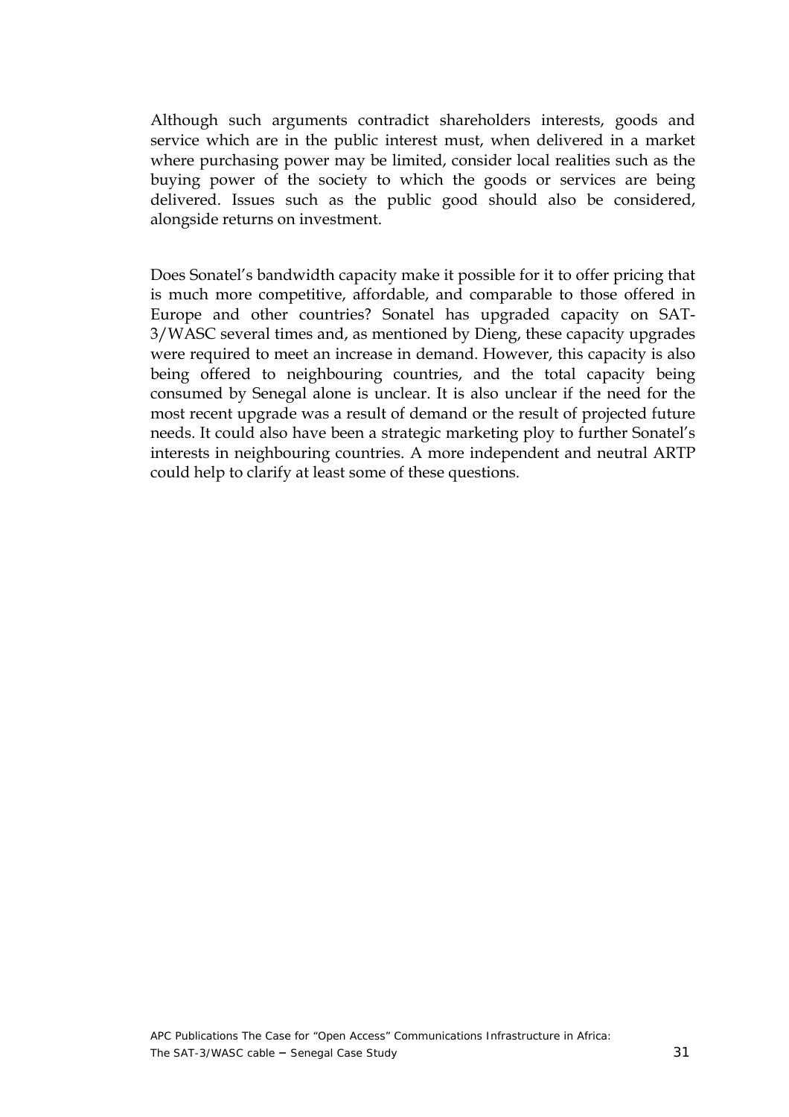Although such arguments contradict shareholders interests, goods and service which are in the public interest must, when delivered in a market where purchasing power may be limited, consider local realities such as the buying power of the society to which the goods or services are being delivered. Issues such as the public good should also be considered, alongside returns on investment.

Does Sonatel's bandwidth capacity make it possible for it to offer pricing that is much more competitive, affordable, and comparable to those offered in Europe and other countries? Sonatel has upgraded capacity on SAT-3/WASC several times and, as mentioned by Dieng, these capacity upgrades were required to meet an increase in demand. However, this capacity is also being offered to neighbouring countries, and the total capacity being consumed by Senegal alone is unclear. It is also unclear if the need for the most recent upgrade was a result of demand or the result of projected future needs. It could also have been a strategic marketing ploy to further Sonatel's interests in neighbouring countries. A more independent and neutral ARTP could help to clarify at least some of these questions.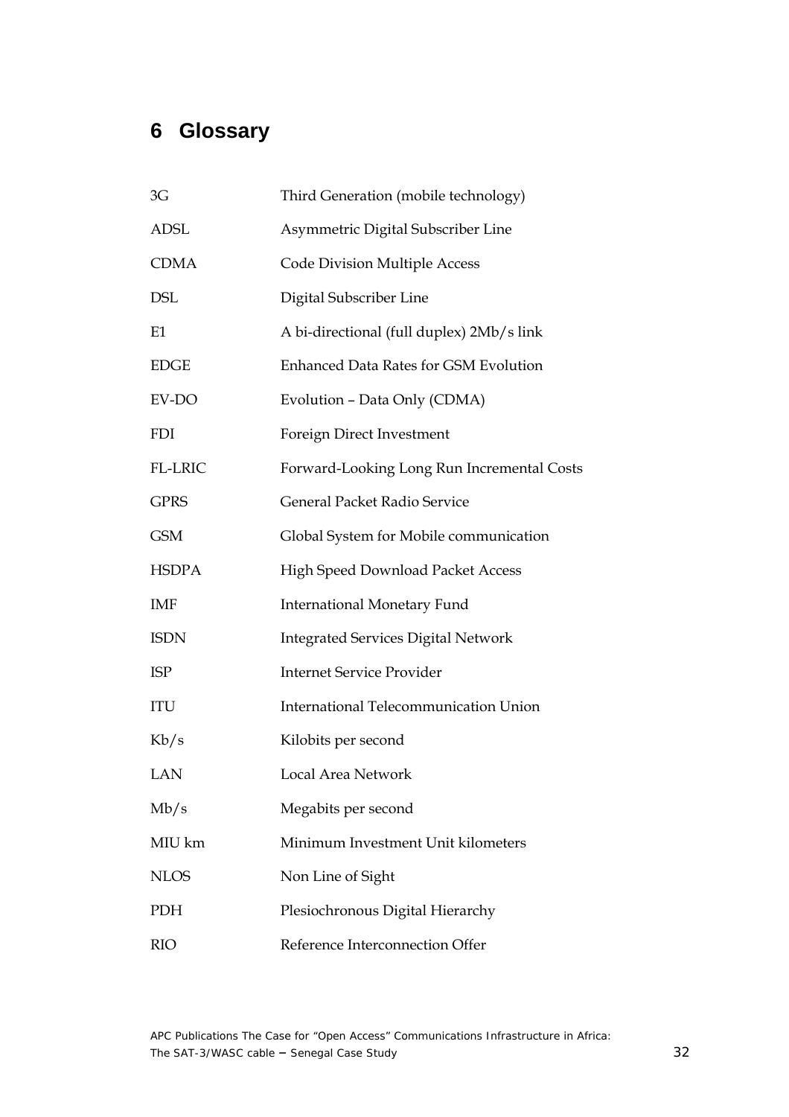# <span id="page-31-0"></span>**6 Glossary**

| 3G           | Third Generation (mobile technology)         |
|--------------|----------------------------------------------|
| <b>ADSL</b>  | Asymmetric Digital Subscriber Line           |
| <b>CDMA</b>  | <b>Code Division Multiple Access</b>         |
| <b>DSL</b>   | Digital Subscriber Line                      |
| E1           | A bi-directional (full duplex) 2Mb/s link    |
| <b>EDGE</b>  | <b>Enhanced Data Rates for GSM Evolution</b> |
| EV-DO        | Evolution - Data Only (CDMA)                 |
| <b>FDI</b>   | Foreign Direct Investment                    |
| FL-LRIC      | Forward-Looking Long Run Incremental Costs   |
| <b>GPRS</b>  | General Packet Radio Service                 |
| <b>GSM</b>   | Global System for Mobile communication       |
| <b>HSDPA</b> | High Speed Download Packet Access            |
| <b>IMF</b>   | <b>International Monetary Fund</b>           |
| <b>ISDN</b>  | <b>Integrated Services Digital Network</b>   |
| <b>ISP</b>   | <b>Internet Service Provider</b>             |
| ITU          | <b>International Telecommunication Union</b> |
| Kb/s         | Kilobits per second                          |
| LAN          | Local Area Network                           |
| Mb/s         | Megabits per second                          |
| MIU km       | Minimum Investment Unit kilometers           |
| <b>NLOS</b>  | Non Line of Sight                            |
| PDH          | Plesiochronous Digital Hierarchy             |
| <b>RIO</b>   | Reference Interconnection Offer              |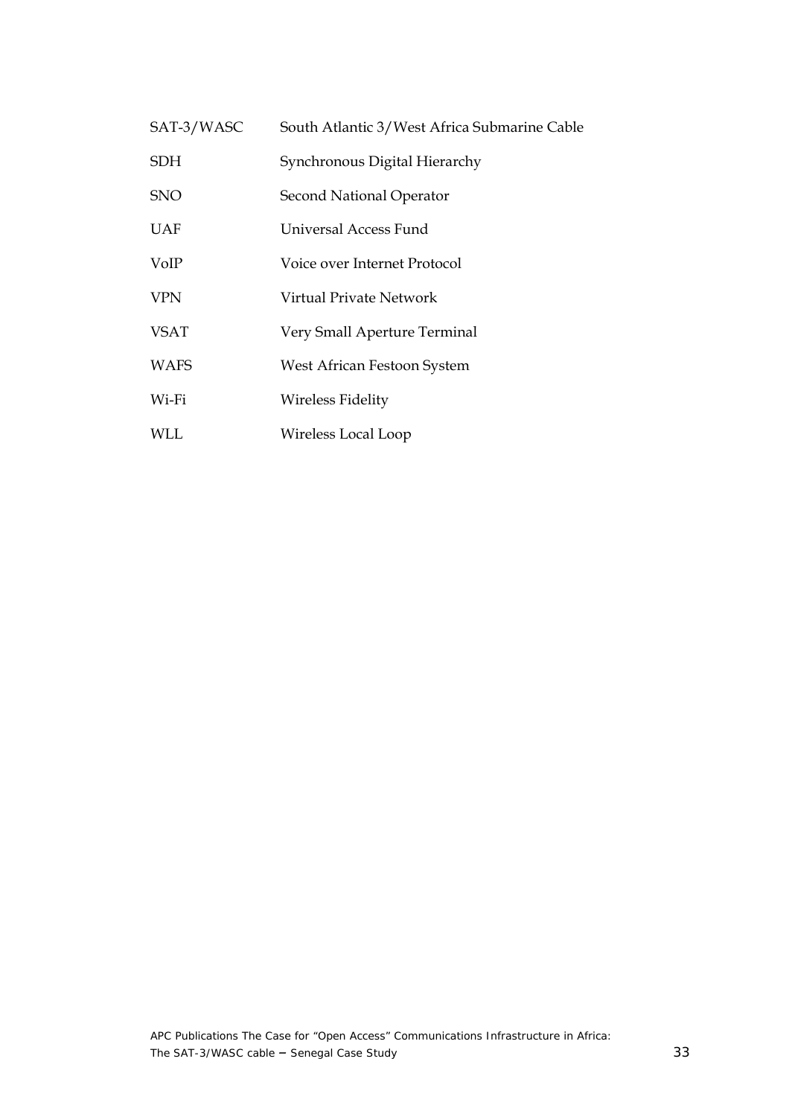| SAT-3/WASC  | South Atlantic 3/West Africa Submarine Cable |
|-------------|----------------------------------------------|
| <b>SDH</b>  | Synchronous Digital Hierarchy                |
| <b>SNO</b>  | Second National Operator                     |
| UAF         | Universal Access Fund                        |
| VoIP        | Voice over Internet Protocol                 |
| <b>VPN</b>  | Virtual Private Network                      |
| <b>VSAT</b> | Very Small Aperture Terminal                 |
| <b>WAFS</b> | West African Festoon System                  |
| Wi-Fi       | Wireless Fidelity                            |
| WLL         | Wireless Local Loop                          |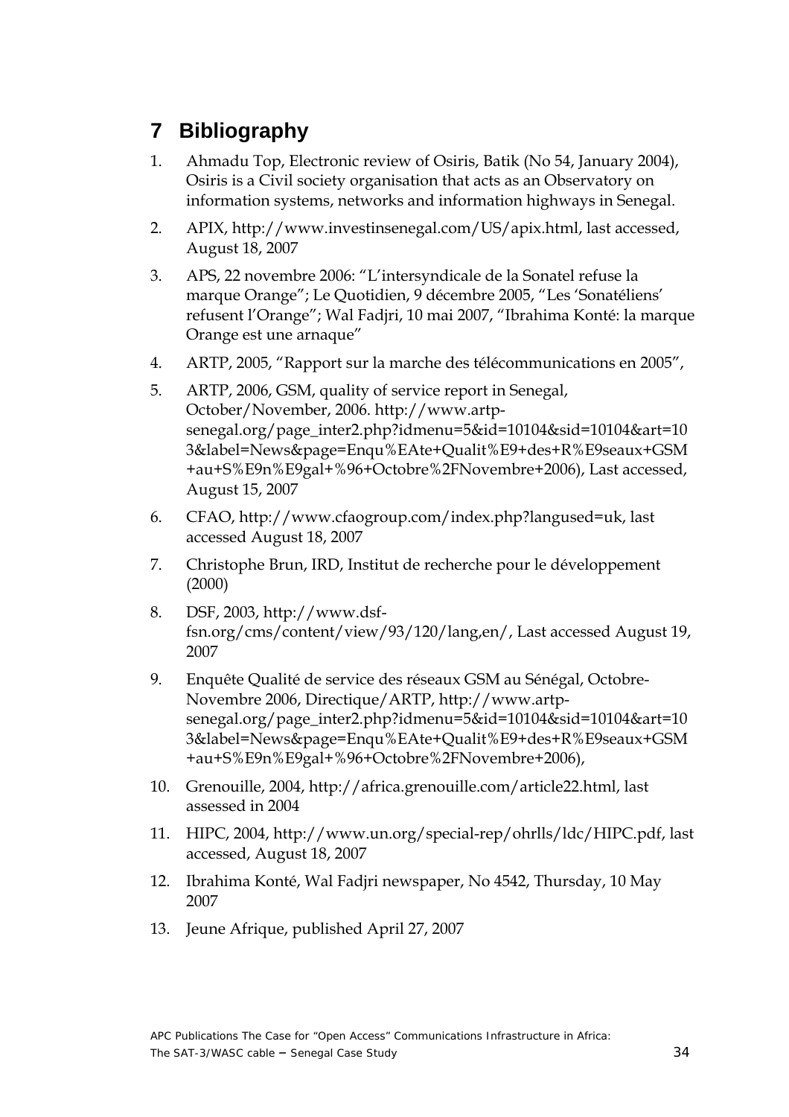## <span id="page-33-0"></span>**7 Bibliography**

- 1. Ahmadu Top, Electronic review of Osiris, Batik (No 54, January 2004), Osiris is a Civil society organisation that acts as an Observatory on information systems, networks and information highways in Senegal.
- 2. APIX, http://www.investinsenegal.com/US/apix.html, last accessed, August 18, 2007
- 3. APS, 22 novembre 2006: "L'intersyndicale de la Sonatel refuse la marque Orange"; Le Quotidien, 9 décembre 2005, "Les 'Sonatéliens' refusent l'Orange"; Wal Fadjri, 10 mai 2007, "Ibrahima Konté: la marque Orange est une arnaque"
- 4. ARTP, 2005, "Rapport sur la marche des télécommunications en 2005",
- 5. ARTP, 2006, GSM, quality of service report in Senegal, October/November, 2006. http://www.artpsenegal.org/page\_inter2.php?idmenu=5&id=10104&sid=10104&art=10 3&label=News&page=Enqu%EAte+Qualit%E9+des+R%E9seaux+GSM +au+S%E9n%E9gal+%96+Octobre%2FNovembre+2006), Last accessed, August 15, 2007
- 6. CFAO, http://www.cfaogroup.com/index.php?langused=uk, last accessed August 18, 2007
- 7. Christophe Brun, IRD, Institut de recherche pour le développement (2000)
- 8. DSF, 2003, http://www.dsffsn.org/cms/content/view/93/120/lang,en/, Last accessed August 19, 2007
- 9. Enquête Qualité de service des réseaux GSM au Sénégal, Octobre-Novembre 2006, Directique/ARTP, http://www.artpsenegal.org/page\_inter2.php?idmenu=5&id=10104&sid=10104&art=10 3&label=News&page=Enqu%EAte+Qualit%E9+des+R%E9seaux+GSM +au+S%E9n%E9gal+%96+Octobre%2FNovembre+2006),
- 10. Grenouille, 2004, http://africa.grenouille.com/article22.html, last assessed in 2004
- 11. HIPC, 2004, http://www.un.org/special-rep/ohrlls/ldc/HIPC.pdf, last accessed, August 18, 2007
- 12. Ibrahima Konté, Wal Fadjri newspaper, No 4542, Thursday, 10 May 2007
- 13. Jeune Afrique, published April 27, 2007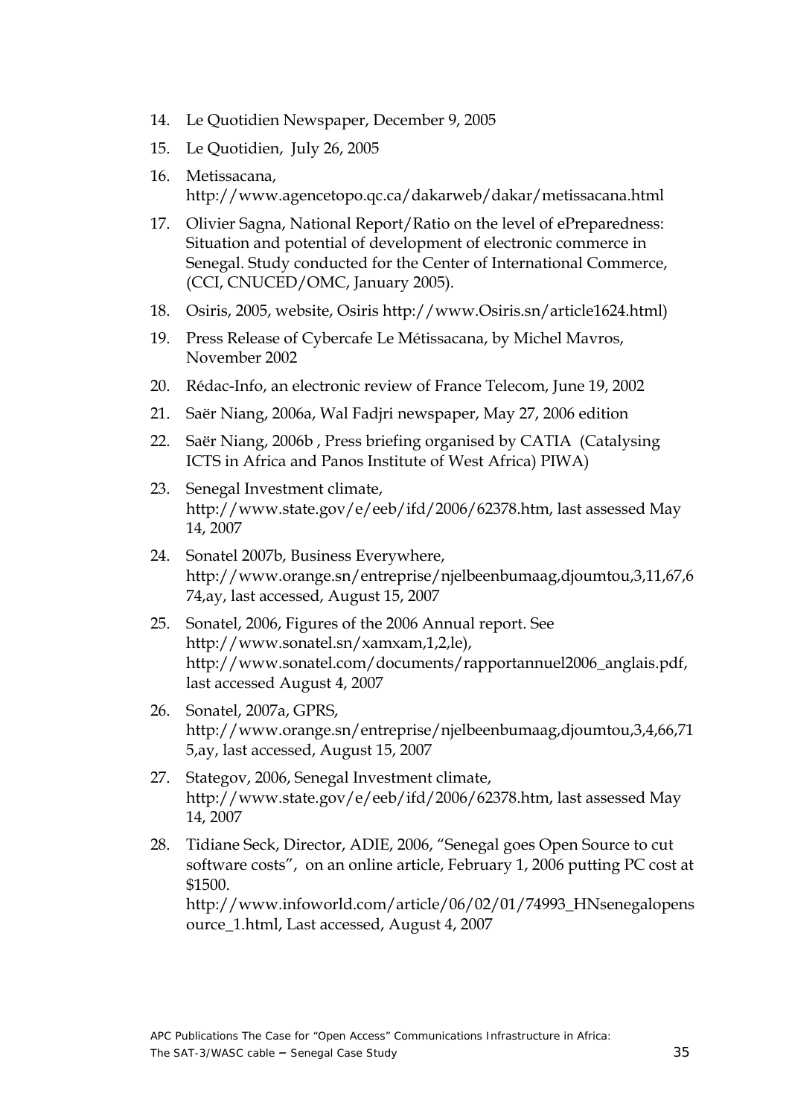- 14. Le Quotidien Newspaper, December 9, 2005
- 15. Le Quotidien, July 26, 2005
- 16. Metissacana, http://www.agencetopo.qc.ca/dakarweb/dakar/metissacana.html
- 17. Olivier Sagna, National Report/Ratio on the level of ePreparedness: Situation and potential of development of electronic commerce in Senegal. Study conducted for the Center of International Commerce, (CCI, CNUCED/OMC, January 2005).
- 18. Osiris, 2005, website, Osiris http://www.Osiris.sn/article1624.html)
- 19. Press Release of Cybercafe Le Métissacana, by Michel Mavros, November 2002
- 20. Rédac-Info, an electronic review of France Telecom, June 19, 2002
- 21. Saër Niang, 2006a, Wal Fadjri newspaper, May 27, 2006 edition
- 22. Saër Niang, 2006b , Press briefing organised by CATIA (Catalysing ICTS in Africa and Panos Institute of West Africa) PIWA)
- 23. Senegal Investment climate, http://www.state.gov/e/eeb/ifd/2006/62378.htm, last assessed May 14, 2007
- 24. Sonatel 2007b, Business Everywhere, http://www.orange.sn/entreprise/njelbeenbumaag,djoumtou,3,11,67,6 74,ay, last accessed, August 15, 2007
- 25. Sonatel, 2006, Figures of the 2006 Annual report. See http://www.sonatel.sn/xamxam,1,2,le), http://www.sonatel.com/documents/rapportannuel2006\_anglais.pdf, last accessed August 4, 2007
- 26. Sonatel, 2007a, GPRS, http://www.orange.sn/entreprise/njelbeenbumaag,djoumtou,3,4,66,71 5,ay, last accessed, August 15, 2007
- 27. Stategov, 2006, Senegal Investment climate, http://www.state.gov/e/eeb/ifd/2006/62378.htm, last assessed May 14, 2007
- 28. Tidiane Seck, Director, ADIE, 2006, "Senegal goes Open Source to cut software costs", on an online article, February 1, 2006 putting PC cost at \$1500.

http://www.infoworld.com/article/06/02/01/74993\_HNsenegalopens ource\_1.html, Last accessed, August 4, 2007